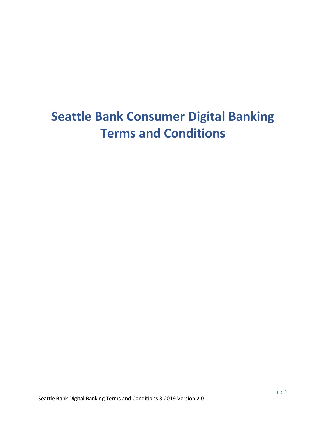# **Seattle Bank Consumer Digital Banking Terms and Conditions**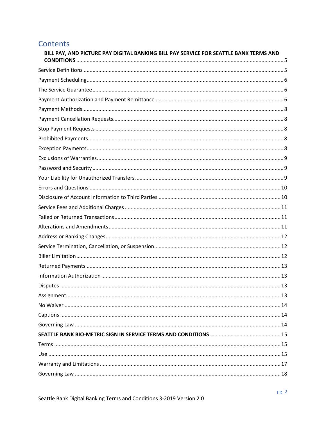# Contents

| BILL PAY, AND PICTURE PAY DIGITAL BANKING BILL PAY SERVICE FOR SEATTLE BANK TERMS AND |  |
|---------------------------------------------------------------------------------------|--|
|                                                                                       |  |
|                                                                                       |  |
|                                                                                       |  |
|                                                                                       |  |
|                                                                                       |  |
|                                                                                       |  |
|                                                                                       |  |
|                                                                                       |  |
|                                                                                       |  |
|                                                                                       |  |
|                                                                                       |  |
|                                                                                       |  |
|                                                                                       |  |
|                                                                                       |  |
|                                                                                       |  |
|                                                                                       |  |
|                                                                                       |  |
|                                                                                       |  |
|                                                                                       |  |
|                                                                                       |  |
|                                                                                       |  |
|                                                                                       |  |
|                                                                                       |  |
|                                                                                       |  |
|                                                                                       |  |
|                                                                                       |  |
|                                                                                       |  |
|                                                                                       |  |
|                                                                                       |  |
|                                                                                       |  |
|                                                                                       |  |
|                                                                                       |  |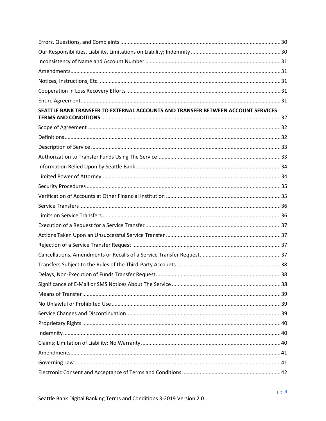| SEATTLE BANK TRANSFER TO EXTERNAL ACCOUNTS AND TRANSFER BETWEEN ACCOUNT SERVICES |  |
|----------------------------------------------------------------------------------|--|
|                                                                                  |  |
|                                                                                  |  |
|                                                                                  |  |
|                                                                                  |  |
|                                                                                  |  |
|                                                                                  |  |
|                                                                                  |  |
|                                                                                  |  |
|                                                                                  |  |
|                                                                                  |  |
|                                                                                  |  |
|                                                                                  |  |
|                                                                                  |  |
|                                                                                  |  |
|                                                                                  |  |
|                                                                                  |  |
|                                                                                  |  |
|                                                                                  |  |
|                                                                                  |  |
|                                                                                  |  |
|                                                                                  |  |
|                                                                                  |  |
|                                                                                  |  |
|                                                                                  |  |
|                                                                                  |  |
|                                                                                  |  |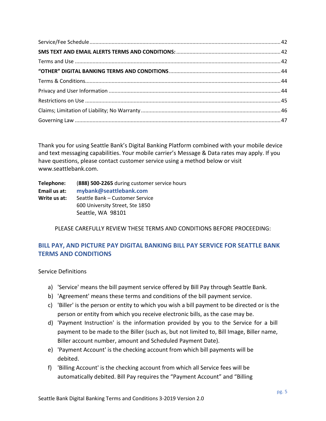Thank you for using Seattle Bank's Digital Banking Platform combined with your mobile device and text messaging capabilities. Your mobile carrier's Message & Data rates may apply. If you have questions, please contact customer service using a method below or visit www.seattlebank.com.

| Telephone:   | (888) 500-2265 during customer service hours |
|--------------|----------------------------------------------|
| Email us at: | mybank@seattlebank.com                       |
| Write us at: | Seattle Bank – Customer Service              |
|              | 600 University Street, Ste 1850              |
|              | Seattle, WA 98101                            |

PLEASE CAREFULLY REVIEW THESE TERMS AND CONDITIONS BEFORE PROCEEDING:

# <span id="page-4-0"></span>**BILL PAY, AND PICTURE PAY DIGITAL BANKING BILL PAY SERVICE FOR SEATTLE BANK TERMS AND CONDITIONS**

<span id="page-4-1"></span>Service Definitions

- a) 'Service' means the bill payment service offered by Bill Pay through Seattle Bank.
- b) 'Agreement' means these terms and conditions of the bill payment service.
- c) 'Biller' is the person or entity to which you wish a bill payment to be directed or is the person or entity from which you receive electronic bills, as the case may be.
- d) 'Payment Instruction' is the information provided by you to the Service for a bill payment to be made to the Biller (such as, but not limited to, Bill Image, Biller name, Biller account number, amount and Scheduled Payment Date).
- e) 'Payment Account' is the checking account from which bill payments will be debited.
- f) 'Billing Account' is the checking account from which all Service fees will be automatically debited. Bill Pay requires the "Payment Account" and "Billing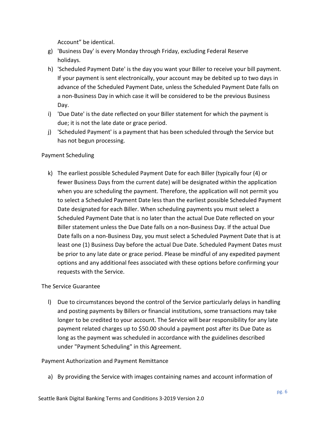Account" be identical.

- g) 'Business Day' is every Monday through Friday, excluding Federal Reserve holidays.
- h) 'Scheduled Payment Date' is the day you want your Biller to receive your bill payment. If your payment is sent electronically, your account may be debited up to two days in advance of the Scheduled Payment Date, unless the Scheduled Payment Date falls on a non-Business Day in which case it will be considered to be the previous Business Day.
- i) 'Due Date' is the date reflected on your Biller statement for which the payment is due; it is not the late date or grace period.
- j) 'Scheduled Payment' is a payment that has been scheduled through the Service but has not begun processing.

#### <span id="page-5-0"></span>Payment Scheduling

k) The earliest possible Scheduled Payment Date for each Biller (typically four (4) or fewer Business Days from the current date) will be designated within the application when you are scheduling the payment. Therefore, the application will not permit you to select a Scheduled Payment Date less than the earliest possible Scheduled Payment Date designated for each Biller. When scheduling payments you must select a Scheduled Payment Date that is no later than the actual Due Date reflected on your Biller statement unless the Due Date falls on a non-Business Day. If the actual Due Date falls on a non-Business Day, you must select a Scheduled Payment Date that is at least one (1) Business Day before the actual Due Date. Scheduled Payment Dates must be prior to any late date or grace period. Please be mindful of any expedited payment options and any additional fees associated with these options before confirming your requests with the Service.

#### <span id="page-5-1"></span>The Service Guarantee

l) Due to circumstances beyond the control of the Service particularly delays in handling and posting payments by Billers or financial institutions, some transactions may take longer to be credited to your account. The Service will bear responsibility for any late payment related charges up to \$50.00 should a payment post after its Due Date as long as the payment was scheduled in accordance with the guidelines described under "Payment Scheduling" in this Agreement.

#### <span id="page-5-2"></span>Payment Authorization and Payment Remittance

a) By providing the Service with images containing names and account information of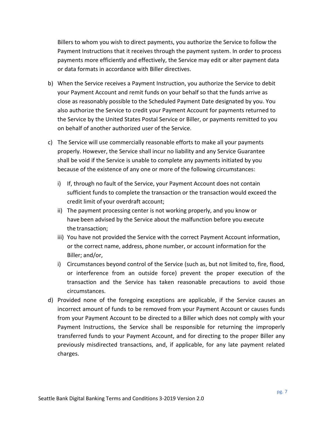Billers to whom you wish to direct payments, you authorize the Service to follow the Payment Instructions that it receives through the payment system. In order to process payments more efficiently and effectively, the Service may edit or alter payment data or data formats in accordance with Biller directives.

- b) When the Service receives a Payment Instruction, you authorize the Service to debit your Payment Account and remit funds on your behalf so that the funds arrive as close as reasonably possible to the Scheduled Payment Date designated by you. You also authorize the Service to credit your Payment Account for payments returned to the Service by the United States Postal Service or Biller, or payments remitted to you on behalf of another authorized user of the Service.
- c) The Service will use commercially reasonable efforts to make all your payments properly. However, the Service shall incur no liability and any Service Guarantee shall be void if the Service is unable to complete any payments initiated by you because of the existence of any one or more of the following circumstances:
	- i) If, through no fault of the Service, your Payment Account does not contain sufficient funds to complete the transaction or the transaction would exceed the credit limit of your overdraft account;
	- ii) The payment processing center is not working properly, and you know or have been advised by the Service about the malfunction before you execute the transaction;
	- iii) You have not provided the Service with the correct Payment Account information, or the correct name, address, phone number, or account information for the Biller; and/or,
	- i) Circumstances beyond control of the Service (such as, but not limited to, fire, flood, or interference from an outside force) prevent the proper execution of the transaction and the Service has taken reasonable precautions to avoid those circumstances.
- <span id="page-6-0"></span>d) Provided none of the foregoing exceptions are applicable, if the Service causes an incorrect amount of funds to be removed from your Payment Account or causes funds from your Payment Account to be directed to a Biller which does not comply with your Payment Instructions, the Service shall be responsible for returning the improperly transferred funds to your Payment Account, and for directing to the proper Biller any previously misdirected transactions, and, if applicable, for any late payment related charges.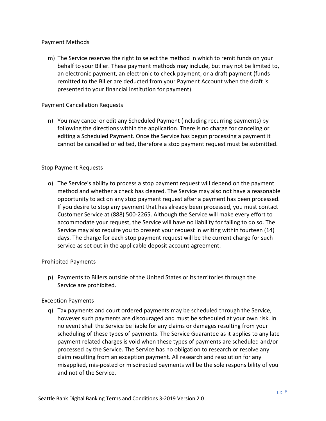#### Payment Methods

m) The Service reserves the right to select the method in which to remit funds on your behalf to your Biller. These payment methods may include, but may not be limited to, an electronic payment, an electronic to check payment, or a draft payment (funds remitted to the Biller are deducted from your Payment Account when the draft is presented to your financial institution for payment).

#### <span id="page-7-0"></span>Payment Cancellation Requests

n) You may cancel or edit any Scheduled Payment (including recurring payments) by following the directions within the application. There is no charge for canceling or editing a Scheduled Payment. Once the Service has begun processing a payment it cannot be cancelled or edited, therefore a stop payment request must be submitted.

#### <span id="page-7-1"></span>Stop Payment Requests

o) The Service's ability to process a stop payment request will depend on the payment method and whether a check has cleared. The Service may also not have a reasonable opportunity to act on any stop payment request after a payment has been processed. If you desire to stop any payment that has already been processed, you must contact Customer Service at (888) 500-2265. Although the Service will make every effort to accommodate your request, the Service will have no liability for failing to do so. The Service may also require you to present your request in writing within fourteen (14) days. The charge for each stop payment request will be the current charge for such service as set out in the applicable deposit account agreement.

#### <span id="page-7-2"></span>Prohibited Payments

p) Payments to Billers outside of the United States or its territories through the Service are prohibited.

#### <span id="page-7-3"></span>Exception Payments

q) Tax payments and court ordered payments may be scheduled through the Service, however such payments are discouraged and must be scheduled at your own risk. In no event shall the Service be liable for any claims or damages resulting from your scheduling of these types of payments. The Service Guarantee as it applies to any late payment related charges is void when these types of payments are scheduled and/or processed by the Service. The Service has no obligation to research or resolve any claim resulting from an exception payment. All research and resolution for any misapplied, mis-posted or misdirected payments will be the sole responsibility of you and not of the Service.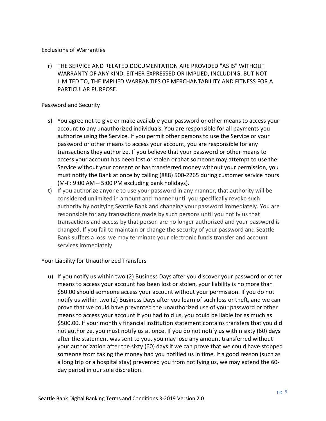#### <span id="page-8-0"></span>Exclusions of Warranties

r) THE SERVICE AND RELATED DOCUMENTATION ARE PROVIDED "AS IS" WITHOUT WARRANTY OF ANY KIND, EITHER EXPRESSED OR IMPLIED, INCLUDING, BUT NOT LIMITED TO, THE IMPLIED WARRANTIES OF MERCHANTABILITY AND FITNESS FOR A PARTICULAR PURPOSE.

#### <span id="page-8-1"></span>Password and Security

- s) You agree not to give or make available your password or other means to access your account to any unauthorized individuals. You are responsible for all payments you authorize using the Service. If you permit other persons to use the Service or your password or other means to access your account, you are responsible for any transactions they authorize. If you believe that your password or other means to access your account has been lost or stolen or that someone may attempt to use the Service without your consent or has transferred money without your permission, you must notify the Bank at once by calling (888) 500-2265 during customer service hours (M-F: 9:00 AM – 5:00 PM excluding bank holidays)**.**
- t) If you authorize anyone to use your password in any manner, that authority will be considered unlimited in amount and manner until you specifically revoke such authority by notifying Seattle Bank and changing your password immediately. You are responsible for any transactions made by such persons until you notify us that transactions and access by that person are no longer authorized and your password is changed. If you fail to maintain or change the security of your password and Seattle Bank suffers a loss, we may terminate your electronic funds transfer and account services immediately

#### <span id="page-8-2"></span>Your Liability for Unauthorized Transfers

u) If you notify us within two (2) Business Days after you discover your password or other means to access your account has been lost or stolen, your liability is no more than \$50.00 should someone access your account without your permission. If you do not notify us within two (2) Business Days after you learn of such loss or theft, and we can prove that we could have prevented the unauthorized use of your password or other means to access your account if you had told us, you could be liable for as much as \$500.00. If your monthly financial institution statement contains transfers that you did not authorize, you must notify us at once. If you do not notify us within sixty (60) days after the statement was sent to you, you may lose any amount transferred without your authorization after the sixty (60) days if we can prove that we could have stopped someone from taking the money had you notified us in time. If a good reason (such as a long trip or a hospital stay) prevented you from notifying us, we may extend the 60 day period in our sole discretion.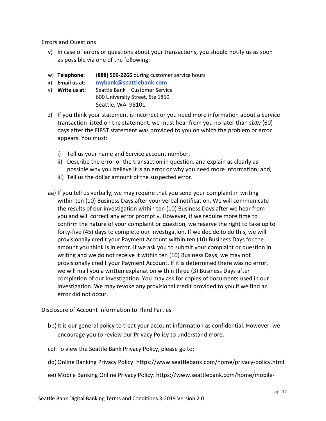<span id="page-9-0"></span>Errors and Questions

- v) In case of errors or questions about your transactions, you should notify us as soon as possible via one of the following:
- w) **Telephone:** (**888) 500-2265** during customer service hours
- x) **Email us at: mybank@seattlebank.com**
- y) **Write us at:** Seattle Bank Customer Service 600 University Street, Ste 1850 Seattle, WA 98101
- z) If you think your statement is incorrect or you need more information about a Service transaction listed on the statement, we must hear from you no later than sixty (60) days after the FIRST statement was provided to you on which the problem or error appears. You must:
	- i) Tell us your name and Service account number;
	- ii) Describe the error or the transaction in question, and explain as clearly as possible why you believe it is an error or why you need more information; and,
	- iii) Tell us the dollar amount of the suspected error.
- aa) If you tell us verbally, we may require that you send your complaint in writing within ten (10) Business Days after your verbal notification. We will communicate the results of our investigation within ten (10) Business Days after we hear from you and will correct any error promptly. However, if we require more time to confirm the nature of your complaint or question, we reserve the right to take up to forty-five (45) days to complete our investigation. If we decide to do this, we will provisionally credit your Payment Account within ten (10) Business Days for the amount you think is in error. If we ask you to submit your complaint or question in writing and we do not receive it within ten (10) Business Days, we may not provisionally credit your Payment Account. If it is determined there was no error, we will mail you a written explanation within three (3) Business Days after completion of our investigation. You may ask for copies of documents used in our investigation. We may revoke any provisional credit provided to you if we find an error did not occur.

<span id="page-9-1"></span>Disclosure of Account Information to Third Parties

- bb) It is our general policy to treat your account information as confidential. However, we encourage you to review our Privacy Policy to understand more.
- cc) To view the Seattle Bank Privacy Policy, please go to:
- dd)Online Banking Privacy Policy: https://www.seattlebank.com/home/privacy-policy.html
- ee) Mobile Banking Online Privacy Policy: https://www.seattlebank.com/home/mobile-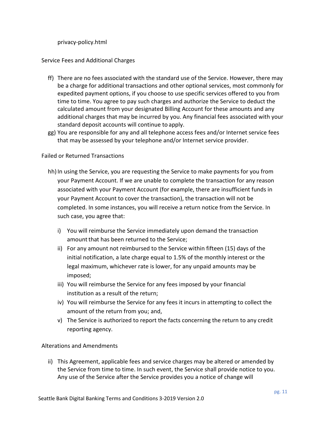privacy-policy.html

#### <span id="page-10-0"></span>Service Fees and Additional Charges

- ff) There are no fees associated with the standard use of the Service. However, there may be a charge for additional transactions and other optional services, most commonly for expedited payment options, if you choose to use specific services offered to you from time to time. You agree to pay such charges and authorize the Service to deduct the calculated amount from your designated Billing Account for these amounts and any additional charges that may be incurred by you. Any financial fees associated with your standard deposit accounts will continue to apply.
- gg) You are responsible for any and all telephone access fees and/or Internet service fees that may be assessed by your telephone and/or Internet service provider.

#### <span id="page-10-1"></span>Failed or Returned Transactions

- hh) In using the Service, you are requesting the Service to make payments for you from your Payment Account. If we are unable to complete the transaction for any reason associated with your Payment Account (for example, there are insufficient funds in your Payment Account to cover the transaction), the transaction will not be completed. In some instances, you will receive a return notice from the Service. In such case, you agree that:
	- i) You will reimburse the Service immediately upon demand the transaction amount that has been returned to the Service;
	- ii) For any amount not reimbursed to the Service within fifteen (15) days of the initial notification, a late charge equal to 1.5% of the monthly interest or the legal maximum, whichever rate is lower, for any unpaid amounts may be imposed;
	- iii) You will reimburse the Service for any fees imposed by your financial institution as a result of the return;
	- iv) You will reimburse the Service for any fees it incurs in attempting to collect the amount of the return from you; and,
	- v) The Service is authorized to report the facts concerning the return to any credit reporting agency.

#### <span id="page-10-2"></span>Alterations and Amendments

ii) This Agreement, applicable fees and service charges may be altered or amended by the Service from time to time. In such event, the Service shall provide notice to you. Any use of the Service after the Service provides you a notice of change will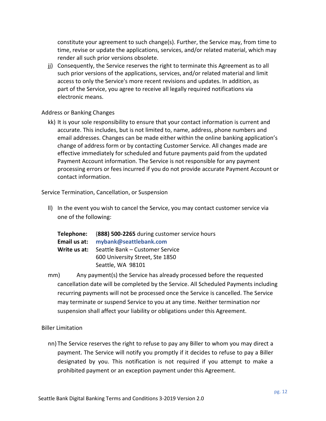constitute your agreement to such change(s). Further, the Service may, from time to time, revise or update the applications, services, and/or related material, which may render all such prior versions obsolete.

jj) Consequently, the Service reserves the right to terminate this Agreement as to all such prior versions of the applications, services, and/or related material and limit access to only the Service's more recent revisions and updates. In addition, as part of the Service, you agree to receive all legally required notifications via electronic means.

#### <span id="page-11-0"></span>Address or Banking Changes

kk) It is your sole responsibility to ensure that your contact information is current and accurate. This includes, but is not limited to, name, address, phone numbers and email addresses. Changes can be made either within the online banking application's change of address form or by contacting Customer Service. All changes made are effective immediately for scheduled and future payments paid from the updated Payment Account information. The Service is not responsible for any payment processing errors or fees incurred if you do not provide accurate Payment Account or contact information.

<span id="page-11-1"></span>Service Termination, Cancellation, or Suspension

ll) In the event you wish to cancel the Service, you may contact customer service via one of the following:

|              | Telephone: (888) 500-2265 during customer service hours |
|--------------|---------------------------------------------------------|
| Email us at: | mybank@seattlebank.com                                  |
| Write us at: | Seattle Bank - Customer Service                         |
|              | 600 University Street, Ste 1850                         |
|              | Seattle, WA 98101                                       |
|              |                                                         |

mm) Any payment(s) the Service has already processed before the requested cancellation date will be completed by the Service. All Scheduled Payments including recurring payments will not be processed once the Service is cancelled. The Service may terminate or suspend Service to you at any time. Neither termination nor suspension shall affect your liability or obligations under this Agreement.

<span id="page-11-2"></span>Biller Limitation

nn) The Service reserves the right to refuse to pay any Biller to whom you may direct a payment. The Service will notify you promptly if it decides to refuse to pay a Biller designated by you. This notification is not required if you attempt to make a prohibited payment or an exception payment under this Agreement.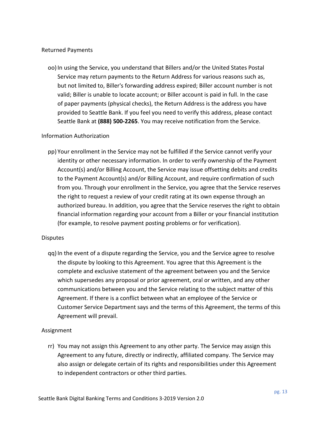#### <span id="page-12-0"></span>Returned Payments

oo) In using the Service, you understand that Billers and/or the United States Postal Service may return payments to the Return Address for various reasons such as, but not limited to, Biller's forwarding address expired; Biller account number is not valid; Biller is unable to locate account; or Biller account is paid in full. In the case of paper payments (physical checks), the Return Address is the address you have provided to Seattle Bank. If you feel you need to verify this address, please contact Seattle Bank at **(888) 500-2265**. You may receive notification from the Service.

#### <span id="page-12-1"></span>Information Authorization

pp) Your enrollment in the Service may not be fulfilled if the Service cannot verify your identity or other necessary information. In order to verify ownership of the Payment Account(s) and/or Billing Account, the Service may issue offsetting debits and credits to the Payment Account(s) and/or Billing Account, and require confirmation of such from you. Through your enrollment in the Service, you agree that the Service reserves the right to request a review of your credit rating at its own expense through an authorized bureau. In addition, you agree that the Service reserves the right to obtain financial information regarding your account from a Biller or your financial institution (for example, to resolve payment posting problems or for verification).

#### <span id="page-12-2"></span>**Disputes**

qq)In the event of a dispute regarding the Service, you and the Service agree to resolve the dispute by looking to this Agreement. You agree that this Agreement is the complete and exclusive statement of the agreement between you and the Service which supersedes any proposal or prior agreement, oral or written, and any other communications between you and the Service relating to the subject matter of this Agreement. If there is a conflict between what an employee of the Service or Customer Service Department says and the terms of this Agreement, the terms of this Agreement will prevail.

#### <span id="page-12-3"></span>Assignment

rr) You may not assign this Agreement to any other party. The Service may assign this Agreement to any future, directly or indirectly, affiliated company. The Service may also assign or delegate certain of its rights and responsibilities under this Agreement to independent contractors or other third parties.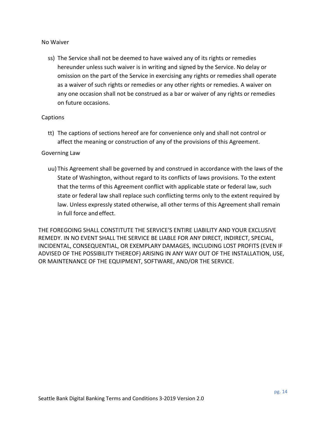#### <span id="page-13-0"></span>No Waiver

ss) The Service shall not be deemed to have waived any of its rights or remedies hereunder unless such waiver is in writing and signed by the Service. No delay or omission on the part of the Service in exercising any rights or remedies shall operate as a waiver of such rights or remedies or any other rights or remedies. A waiver on any one occasion shall not be construed as a bar or waiver of any rights or remedies on future occasions.

#### <span id="page-13-1"></span>**Captions**

tt) The captions of sections hereof are for convenience only and shall not control or affect the meaning or construction of any of the provisions of this Agreement.

#### <span id="page-13-2"></span>Governing Law

uu) This Agreement shall be governed by and construed in accordance with the laws of the State of Washington, without regard to its conflicts of laws provisions. To the extent that the terms of this Agreement conflict with applicable state or federal law, such state or federal law shall replace such conflicting terms only to the extent required by law. Unless expressly stated otherwise, all other terms of this Agreement shall remain in full force and effect.

THE FOREGOING SHALL CONSTITUTE THE SERVICE'S ENTIRE LIABILITY AND YOUR EXCLUSIVE REMEDY. IN NO EVENT SHALL THE SERVICE BE LIABLE FOR ANY DIRECT, INDIRECT, SPECIAL, INCIDENTAL, CONSEQUENTIAL, OR EXEMPLARY DAMAGES, INCLUDING LOST PROFITS (EVEN IF ADVISED OF THE POSSIBILITY THEREOF) ARISING IN ANY WAY OUT OF THE INSTALLATION, USE, OR MAINTENANCE OF THE EQUIPMENT, SOFTWARE, AND/OR THE SERVICE.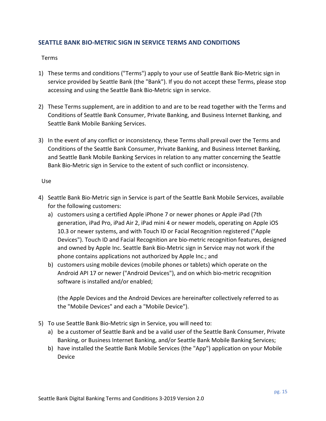## <span id="page-14-0"></span>**SEATTLE BANK BIO-METRIC SIGN IN SERVICE TERMS AND CONDITIONS**

#### <span id="page-14-1"></span>Terms

- 1) These terms and conditions ("Terms") apply to your use of Seattle Bank Bio-Metric sign in service provided by Seattle Bank (the "Bank"). If you do not accept these Terms, please stop accessing and using the Seattle Bank Bio-Metric sign in service.
- 2) These Terms supplement, are in addition to and are to be read together with the Terms and Conditions of Seattle Bank Consumer, Private Banking, and Business Internet Banking, and Seattle Bank Mobile Banking Services.
- 3) In the event of any conflict or inconsistency, these Terms shall prevail over the Terms and Conditions of the Seattle Bank Consumer, Private Banking, and Business Internet Banking, and Seattle Bank Mobile Banking Services in relation to any matter concerning the Seattle Bank Bio-Metric sign in Service to the extent of such conflict or inconsistency.

#### <span id="page-14-2"></span>Use

- 4) Seattle Bank Bio-Metric sign in Service is part of the Seattle Bank Mobile Services, available for the following customers:
	- a) customers using a certified Apple iPhone 7 or newer phones or Apple iPad (7th generation, iPad Pro, iPad Air 2, iPad mini 4 or newer models, operating on Apple iOS 10.3 or newer systems, and with Touch ID or Facial Recognition registered ("Apple Devices"). Touch ID and Facial Recognition are bio-metric recognition features, designed and owned by Apple Inc. Seattle Bank Bio-Metric sign in Service may not work if the phone contains applications not authorized by Apple Inc.; and
	- b) customers using mobile devices (mobile phones or tablets) which operate on the Android API 17 or newer ("Android Devices"), and on which bio-metric recognition software is installed and/or enabled;

(the Apple Devices and the Android Devices are hereinafter collectively referred to as the "Mobile Devices" and each a "Mobile Device").

- 5) To use Seattle Bank Bio-Metric sign in Service, you will need to:
	- a) be a customer of Seattle Bank and be a valid user of the Seattle Bank Consumer, Private Banking, or Business Internet Banking, and/or Seattle Bank Mobile Banking Services;
	- b) have installed the Seattle Bank Mobile Services (the "App") application on your Mobile Device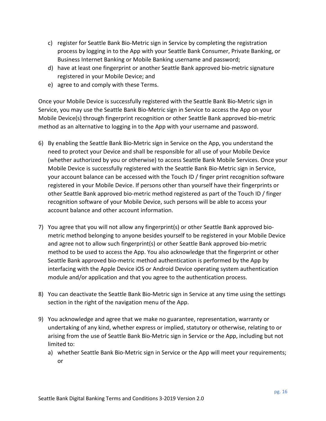- c) register for Seattle Bank Bio-Metric sign in Service by completing the registration process by logging in to the App with your Seattle Bank Consumer, Private Banking, or Business Internet Banking or Mobile Banking username and password;
- d) have at least one fingerprint or another Seattle Bank approved bio-metric signature registered in your Mobile Device; and
- e) agree to and comply with these Terms.

Once your Mobile Device is successfully registered with the Seattle Bank Bio-Metric sign in Service, you may use the Seattle Bank Bio-Metric sign in Service to access the App on your Mobile Device(s) through fingerprint recognition or other Seattle Bank approved bio-metric method as an alternative to logging in to the App with your username and password.

- 6) By enabling the Seattle Bank Bio-Metric sign in Service on the App, you understand the need to protect your Device and shall be responsible for all use of your Mobile Device (whether authorized by you or otherwise) to access Seattle Bank Mobile Services. Once your Mobile Device is successfully registered with the Seattle Bank Bio-Metric sign in Service, your account balance can be accessed with the Touch ID / finger print recognition software registered in your Mobile Device. If persons other than yourself have their fingerprints or other Seattle Bank approved bio-metric method registered as part of the Touch ID / finger recognition software of your Mobile Device, such persons will be able to access your account balance and other account information.
- 7) You agree that you will not allow any fingerprint(s) or other Seattle Bank approved biometric method belonging to anyone besides yourself to be registered in your Mobile Device and agree not to allow such fingerprint(s) or other Seattle Bank approved bio-metric method to be used to access the App. You also acknowledge that the fingerprint or other Seattle Bank approved bio-metric method authentication is performed by the App by interfacing with the Apple Device iOS or Android Device operating system authentication module and/or application and that you agree to the authentication process.
- 8) You can deactivate the Seattle Bank Bio-Metric sign in Service at any time using the settings section in the right of the navigation menu of the App.
- 9) You acknowledge and agree that we make no guarantee, representation, warranty or undertaking of any kind, whether express or implied, statutory or otherwise, relating to or arising from the use of Seattle Bank Bio-Metric sign in Service or the App, including but not limited to:
	- a) whether Seattle Bank Bio-Metric sign in Service or the App will meet your requirements; or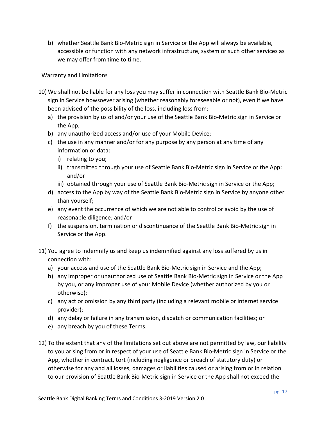b) whether Seattle Bank Bio-Metric sign in Service or the App will always be available, accessible or function with any network infrastructure, system or such other services as we may offer from time to time.

#### <span id="page-16-0"></span>Warranty and Limitations

- 10) We shall not be liable for any loss you may suffer in connection with Seattle Bank Bio-Metric sign in Service howsoever arising (whether reasonably foreseeable or not), even if we have been advised of the possibility of the loss, including loss from:
	- a) the provision by us of and/or your use of the Seattle Bank Bio-Metric sign in Service or the App;
	- b) any unauthorized access and/or use of your Mobile Device;
	- c) the use in any manner and/or for any purpose by any person at any time of any information or data:
		- i) relating to you;
		- ii) transmitted through your use of Seattle Bank Bio-Metric sign in Service or the App; and/or
		- iii) obtained through your use of Seattle Bank Bio-Metric sign in Service or the App;
	- d) access to the App by way of the Seattle Bank Bio-Metric sign in Service by anyone other than yourself;
	- e) any event the occurrence of which we are not able to control or avoid by the use of reasonable diligence; and/or
	- f) the suspension, termination or discontinuance of the Seattle Bank Bio-Metric sign in Service or the App.
- 11) You agree to indemnify us and keep us indemnified against any loss suffered by us in connection with:
	- a) your access and use of the Seattle Bank Bio-Metric sign in Service and the App;
	- b) any improper or unauthorized use of Seattle Bank Bio-Metric sign in Service or the App by you, or any improper use of your Mobile Device (whether authorized by you or otherwise);
	- c) any act or omission by any third party (including a relevant mobile or internet service provider);
	- d) any delay or failure in any transmission, dispatch or communication facilities; or
	- e) any breach by you of these Terms.
- 12) To the extent that any of the limitations set out above are not permitted by law, our liability to you arising from or in respect of your use of Seattle Bank Bio-Metric sign in Service or the App, whether in contract, tort (including negligence or breach of statutory duty) or otherwise for any and all losses, damages or liabilities caused or arising from or in relation to our provision of Seattle Bank Bio-Metric sign in Service or the App shall not exceed the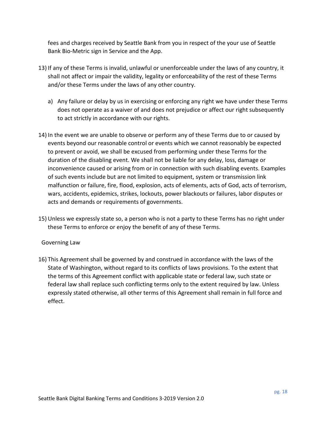fees and charges received by Seattle Bank from you in respect of the your use of Seattle Bank Bio-Metric sign in Service and the App.

- 13) If any of these Terms is invalid, unlawful or unenforceable under the laws of any country, it shall not affect or impair the validity, legality or enforceability of the rest of these Terms and/or these Terms under the laws of any other country.
	- a) Any failure or delay by us in exercising or enforcing any right we have under these Terms does not operate as a waiver of and does not prejudice or affect our right subsequently to act strictly in accordance with our rights.
- 14) In the event we are unable to observe or perform any of these Terms due to or caused by events beyond our reasonable control or events which we cannot reasonably be expected to prevent or avoid, we shall be excused from performing under these Terms for the duration of the disabling event. We shall not be liable for any delay, loss, damage or inconvenience caused or arising from or in connection with such disabling events. Examples of such events include but are not limited to equipment, system or transmission link malfunction or failure, fire, flood, explosion, acts of elements, acts of God, acts of terrorism, wars, accidents, epidemics, strikes, lockouts, power blackouts or failures, labor disputes or acts and demands or requirements of governments.
- 15) Unless we expressly state so, a person who is not a party to these Terms has no right under these Terms to enforce or enjoy the benefit of any of these Terms.

#### <span id="page-17-0"></span>Governing Law

16) This Agreement shall be governed by and construed in accordance with the laws of the State of Washington, without regard to its conflicts of laws provisions. To the extent that the terms of this Agreement conflict with applicable state or federal law, such state or federal law shall replace such conflicting terms only to the extent required by law. Unless expressly stated otherwise, all other terms of this Agreement shall remain in full force and effect.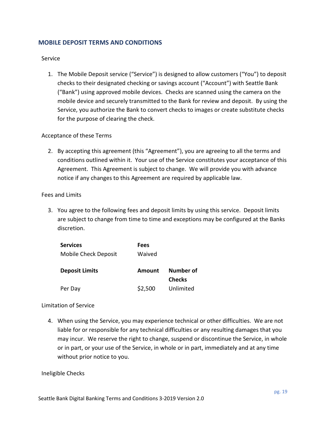## <span id="page-18-0"></span>**MOBILE DEPOSIT TERMS AND CONDITIONS**

#### <span id="page-18-1"></span>Service

1. The Mobile Deposit service ("Service") is designed to allow customers ("You") to deposit checks to their designated checking or savings account ("Account") with Seattle Bank ("Bank") using approved mobile devices. Checks are scanned using the camera on the mobile device and securely transmitted to the Bank for review and deposit. By using the Service, you authorize the Bank to convert checks to images or create substitute checks for the purpose of clearing the check.

#### <span id="page-18-2"></span>Acceptance of these Terms

2. By accepting this agreement (this "Agreement"), you are agreeing to all the terms and conditions outlined within it. Your use of the Service constitutes your acceptance of this Agreement. This Agreement is subject to change. We will provide you with advance notice if any changes to this Agreement are required by applicable law.

#### <span id="page-18-3"></span>Fees and Limits

3. You agree to the following fees and deposit limits by using this service. Deposit limits are subject to change from time to time and exceptions may be configured at the Banks discretion.

| <b>Services</b>       | Fees    |                            |
|-----------------------|---------|----------------------------|
| Mobile Check Deposit  | Waived  |                            |
| <b>Deposit Limits</b> | Amount  | Number of<br><b>Checks</b> |
| Per Day               | \$2,500 | Unlimited                  |

#### <span id="page-18-4"></span>Limitation of Service

4. When using the Service, you may experience technical or other difficulties. We are not liable for or responsible for any technical difficulties or any resulting damages that you may incur. We reserve the right to change, suspend or discontinue the Service, in whole or in part, or your use of the Service, in whole or in part, immediately and at any time without prior notice to you.

#### <span id="page-18-5"></span>Ineligible Checks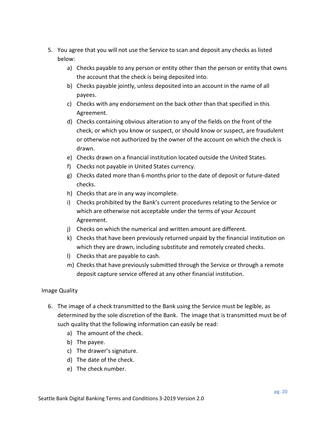- 5. You agree that you will not use the Service to scan and deposit any checks as listed below:
	- a) Checks payable to any person or entity other than the person or entity that owns the account that the check is being deposited into.
	- b) Checks payable jointly, unless deposited into an account in the name of all payees.
	- c) Checks with any endorsement on the back other than that specified in this Agreement.
	- d) Checks containing obvious alteration to any of the fields on the front of the check, or which you know or suspect, or should know or suspect, are fraudulent or otherwise not authorized by the owner of the account on which the check is drawn.
	- e) Checks drawn on a financial institution located outside the United States.
	- f) Checks not payable in United States currency.
	- g) Checks dated more than 6 months prior to the date of deposit or future-dated checks.
	- h) Checks that are in any way incomplete.
	- i) Checks prohibited by the Bank's current procedures relating to the Service or which are otherwise not acceptable under the terms of your Account Agreement.
	- j) Checks on which the numerical and written amount are different.
	- k) Checks that have been previously returned unpaid by the financial institution on which they are drawn, including substitute and remotely created checks.
	- l) Checks that are payable to cash.
	- m) Checks that have previously submitted through the Service or through a remote deposit capture service offered at any other financial institution.

# <span id="page-19-0"></span>Image Quality

- 6. The image of a check transmitted to the Bank using the Service must be legible, as determined by the sole discretion of the Bank. The image that is transmitted must be of such quality that the following information can easily be read:
	- a) The amount of the check.
	- b) The payee.
	- c) The drawer's signature.
	- d) The date of the check.
	- e) The check number.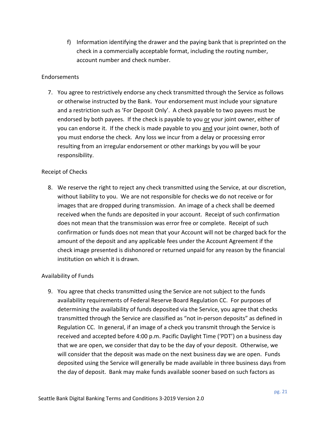f) Information identifying the drawer and the paying bank that is preprinted on the check in a commercially acceptable format, including the routing number, account number and check number.

#### <span id="page-20-0"></span>Endorsements

7. You agree to restrictively endorse any check transmitted through the Service as follows or otherwise instructed by the Bank. Your endorsement must include your signature and a restriction such as 'For Deposit Only'. A check payable to two payees must be endorsed by both payees. If the check is payable to you or your joint owner, either of you can endorse it. If the check is made payable to you and your joint owner, both of you must endorse the check. Any loss we incur from a delay or processing error resulting from an irregular endorsement or other markings by you will be your responsibility.

#### <span id="page-20-1"></span>Receipt of Checks

8. We reserve the right to reject any check transmitted using the Service, at our discretion, without liability to you. We are not responsible for checks we do not receive or for images that are dropped during transmission. An image of a check shall be deemed received when the funds are deposited in your account. Receipt of such confirmation does not mean that the transmission was error free or complete. Receipt of such confirmation or funds does not mean that your Account will not be charged back for the amount of the deposit and any applicable fees under the Account Agreement if the check image presented is dishonored or returned unpaid for any reason by the financial institution on which it is drawn.

#### <span id="page-20-2"></span>Availability of Funds

9. You agree that checks transmitted using the Service are not subject to the funds availability requirements of Federal Reserve Board Regulation CC. For purposes of determining the availability of funds deposited via the Service, you agree that checks transmitted through the Service are classified as "not in-person deposits" as defined in Regulation CC. In general, if an image of a check you transmit through the Service is received and accepted before 4:00 p.m. Pacific Daylight Time ('PDT') on a business day that we are open, we consider that day to be the day of your deposit. Otherwise, we will consider that the deposit was made on the next business day we are open. Funds deposited using the Service will generally be made available in three business days from the day of deposit. Bank may make funds available sooner based on such factors as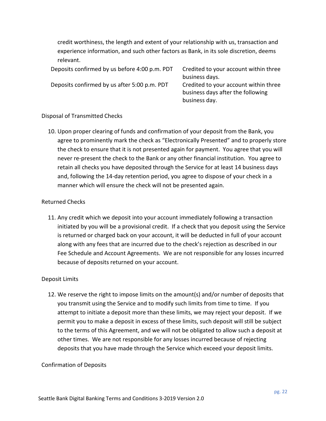credit worthiness, the length and extent of your relationship with us, transaction and experience information, and such other factors as Bank, in its sole discretion, deems relevant.

business day.

Deposits confirmed by us before 4:00 p.m. PDT Credited to your account within three business days. Deposits confirmed by us after 5:00 p.m. PDT Credited to your account within three business days after the following

#### <span id="page-21-0"></span>Disposal of Transmitted Checks

10. Upon proper clearing of funds and confirmation of your deposit from the Bank, you agree to prominently mark the check as "Electronically Presented" and to properly store the check to ensure that it is not presented again for payment. You agree that you will never re-present the check to the Bank or any other financial institution. You agree to retain all checks you have deposited through the Service for at least 14 business days and, following the 14-day retention period, you agree to dispose of your check in a manner which will ensure the check will not be presented again.

#### <span id="page-21-1"></span>Returned Checks

11. Any credit which we deposit into your account immediately following a transaction initiated by you will be a provisional credit. If a check that you deposit using the Service is returned or charged back on your account, it will be deducted in full of your account along with any fees that are incurred due to the check's rejection as described in our Fee Schedule and Account Agreements. We are not responsible for any losses incurred because of deposits returned on your account.

#### <span id="page-21-2"></span>Deposit Limits

12. We reserve the right to impose limits on the amount(s) and/or number of deposits that you transmit using the Service and to modify such limits from time to time. If you attempt to initiate a deposit more than these limits, we may reject your deposit. If we permit you to make a deposit in excess of these limits, such deposit will still be subject to the terms of this Agreement, and we will not be obligated to allow such a deposit at other times. We are not responsible for any losses incurred because of rejecting deposits that you have made through the Service which exceed your deposit limits.

#### <span id="page-21-3"></span>Confirmation of Deposits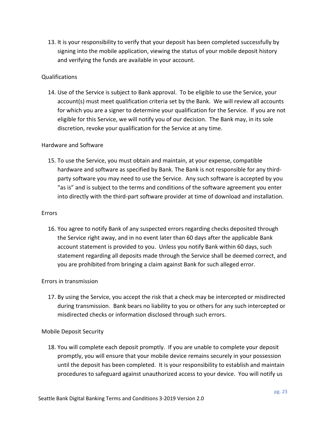13. It is your responsibility to verify that your deposit has been completed successfully by signing into the mobile application, viewing the status of your mobile deposit history and verifying the funds are available in your account.

#### <span id="page-22-0"></span>Qualifications

14. Use of the Service is subject to Bank approval. To be eligible to use the Service, your account(s) must meet qualification criteria set by the Bank. We will review all accounts for which you are a signer to determine your qualification for the Service. If you are not eligible for this Service, we will notify you of our decision. The Bank may, in its sole discretion, revoke your qualification for the Service at any time.

#### <span id="page-22-1"></span>Hardware and Software

15. To use the Service, you must obtain and maintain, at your expense, compatible hardware and software as specified by Bank. The Bank is not responsible for any thirdparty software you may need to use the Service. Any such software is accepted by you "as is" and is subject to the terms and conditions of the software agreement you enter into directly with the third-part software provider at time of download and installation.

#### <span id="page-22-2"></span>Errors

16. You agree to notify Bank of any suspected errors regarding checks deposited through the Service right away, and in no event later than 60 days after the applicable Bank account statement is provided to you. Unless you notify Bank within 60 days, such statement regarding all deposits made through the Service shall be deemed correct, and you are prohibited from bringing a claim against Bank for such alleged error.

#### <span id="page-22-3"></span>Errors in transmission

17. By using the Service, you accept the risk that a check may be intercepted or misdirected during transmission. Bank bears no liability to you or others for any such intercepted or misdirected checks or information disclosed through such errors.

#### <span id="page-22-4"></span>Mobile Deposit Security

18. You will complete each deposit promptly. If you are unable to complete your deposit promptly, you will ensure that your mobile device remains securely in your possession until the deposit has been completed. It is your responsibility to establish and maintain procedures to safeguard against unauthorized access to your device. You will notify us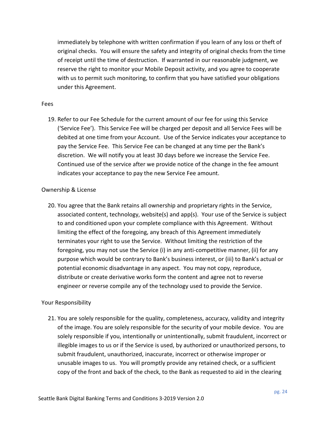immediately by telephone with written confirmation if you learn of any loss or theft of original checks. You will ensure the safety and integrity of original checks from the time of receipt until the time of destruction. If warranted in our reasonable judgment, we reserve the right to monitor your Mobile Deposit activity, and you agree to cooperate with us to permit such monitoring, to confirm that you have satisfied your obligations under this Agreement.

#### <span id="page-23-0"></span>Fees

19. Refer to our Fee Schedule for the current amount of our fee for using this Service ('Service Fee'). This Service Fee will be charged per deposit and all Service Fees will be debited at one time from your Account. Use of the Service indicates your acceptance to pay the Service Fee. This Service Fee can be changed at any time per the Bank's discretion. We will notify you at least 30 days before we increase the Service Fee. Continued use of the service after we provide notice of the change in the fee amount indicates your acceptance to pay the new Service Fee amount.

#### <span id="page-23-1"></span>Ownership & License

20. You agree that the Bank retains all ownership and proprietary rights in the Service, associated content, technology, website(s) and app(s). Your use of the Service is subject to and conditioned upon your complete compliance with this Agreement. Without limiting the effect of the foregoing, any breach of this Agreement immediately terminates your right to use the Service. Without limiting the restriction of the foregoing, you may not use the Service (i) in any anti-competitive manner, (ii) for any purpose which would be contrary to Bank's business interest, or (iii) to Bank's actual or potential economic disadvantage in any aspect. You may not copy, reproduce, distribute or create derivative works form the content and agree not to reverse engineer or reverse compile any of the technology used to provide the Service.

#### <span id="page-23-2"></span>Your Responsibility

21. You are solely responsible for the quality, completeness, accuracy, validity and integrity of the image. You are solely responsible for the security of your mobile device. You are solely responsible if you, intentionally or unintentionally, submit fraudulent, incorrect or illegible images to us or if the Service is used, by authorized or unauthorized persons, to submit fraudulent, unauthorized, inaccurate, incorrect or otherwise improper or unusable images to us. You will promptly provide any retained check, or a sufficient copy of the front and back of the check, to the Bank as requested to aid in the clearing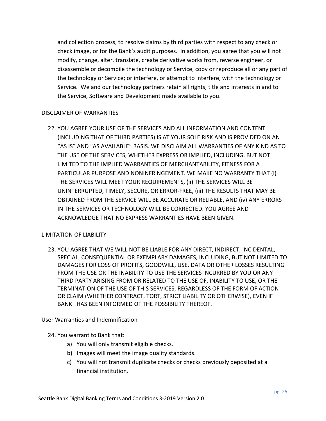and collection process, to resolve claims by third parties with respect to any check or check image, or for the Bank's audit purposes. In addition, you agree that you will not modify, change, alter, translate, create derivative works from, reverse engineer, or disassemble or decompile the technology or Service, copy or reproduce all or any part of the technology or Service; or interfere, or attempt to interfere, with the technology or Service. We and our technology partners retain all rights, title and interests in and to the Service, Software and Development made available to you.

#### <span id="page-24-0"></span>DISCLAIMER OF WARRANTIES

22. YOU AGREE YOUR USE OF THE SERVICES AND ALL INFORMATION AND CONTENT (INCLUDING THAT OF THIRD PARTIES) IS AT YOUR SOLE RISK AND IS PROVIDED ON AN "AS IS" AND "AS AVAILABLE" BASIS. WE DISCLAIM ALL WARRANTIES OF ANY KIND AS TO THE USE OF THE SERVICES, WHETHER EXPRESS OR IMPLIED, INCLUDING, BUT NOT LIMITED TO THE IMPLIED WARRANTIES OF MERCHANTABILITY, FITNESS FOR A PARTICULAR PURPOSE AND NONINFRINGEMENT. WE MAKE NO WARRANTY THAT (i) THE SERVICES WILL MEET YOUR REQUIREMENTS, (ii) THE SERVICES WILL BE UNINTERRUPTED, TIMELY, SECURE, OR ERROR-FREE, (iii) THE RESULTS THAT MAY BE OBTAINED FROM THE SERVICE WILL BE ACCURATE OR RELIABLE, AND (iv) ANY ERRORS IN THE SERVICES OR TECHNOLOGY WILL BE CORRECTED. YOU AGREE AND ACKNOWLEDGE THAT NO EXPRESS WARRANTIES HAVE BEEN GIVEN.

#### <span id="page-24-1"></span>LIMITATION OF LIABILITY

23. YOU AGREE THAT WE WILL NOT BE LIABLE FOR ANY DIRECT, INDIRECT, INCIDENTAL, SPECIAL, CONSEQUENTIAL OR EXEMPLARY DAMAGES, INCLUDING, BUT NOT LIMITED TO DAMAGES FOR LOSS OF PROFITS, GOODWILL, USE, DATA OR OTHER LOSSES RESULTING FROM THE USE OR THE INABILITY TO USE THE SERVICES INCURRED BY YOU OR ANY THIRD PARTY ARISING FROM OR RELATED TO THE USE OF, INABILITY TO USE, OR THE TERMINATION OF THE USE OF THIS SERVICES, REGARDLESS OF THE FORM OF ACTION OR CLAIM (WHETHER CONTRACT, TORT, STRICT LIABILITY OR OTHERWISE), EVEN IF BANK HAS BEEN INFORMED OF THE POSSIBILITY THEREOF.

<span id="page-24-2"></span>User Warranties and Indemnification

- 24. You warrant to Bank that:
	- a) You will only transmit eligible checks.
	- b) Images will meet the image quality standards.
	- c) You will not transmit duplicate checks or checks previously deposited at a financial institution.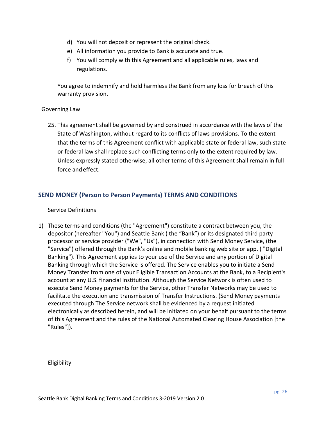- d) You will not deposit or represent the original check.
- e) All information you provide to Bank is accurate and true.
- f) You will comply with this Agreement and all applicable rules, laws and regulations.

You agree to indemnify and hold harmless the Bank from any loss for breach of this warranty provision.

#### <span id="page-25-0"></span>Governing Law

25. This agreement shall be governed by and construed in accordance with the laws of the State of Washington, without regard to its conflicts of laws provisions. To the extent that the terms of this Agreement conflict with applicable state or federal law, such state or federal law shall replace such conflicting terms only to the extent required by law. Unless expressly stated otherwise, all other terms of this Agreement shall remain in full force andeffect.

# <span id="page-25-1"></span>**SEND MONEY (Person to Person Payments) TERMS AND CONDITIONS**

#### <span id="page-25-2"></span>Service Definitions

1) These terms and conditions (the "Agreement") constitute a contract between you, the depositor (hereafter "You") and Seattle Bank ( the "Bank") or its designated third party processor or service provider ("We", "Us"), in connection with Send Money Service, (the "Service") offered through the Bank's online and mobile banking web site or app. ( "Digital Banking"). This Agreement applies to your use of the Service and any portion of Digital Banking through which the Service is offered. The Service enables you to initiate a Send Money Transfer from one of your Eligible Transaction Accounts at the Bank, to a Recipient's account at any U.S. financial institution. Although the Service Network is often used to execute Send Money payments for the Service, other Transfer Networks may be used to facilitate the execution and transmission of Transfer Instructions. (Send Money payments executed through The Service network shall be evidenced by a request initiated electronically as described herein, and will be initiated on your behalf pursuant to the terms of this Agreement and the rules of the National Automated Clearing House Association [the "Rules"]).

<span id="page-25-3"></span>Eligibility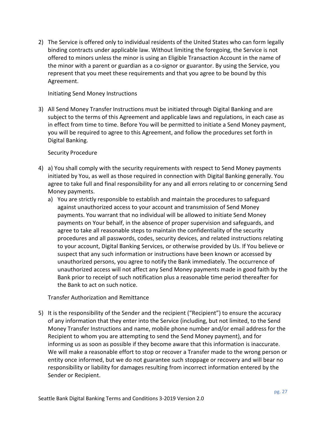2) The Service is offered only to individual residents of the United States who can form legally binding contracts under applicable law. Without limiting the foregoing, the Service is not offered to minors unless the minor is using an Eligible Transaction Account in the name of the minor with a parent or guardian as a co-signor or guarantor. By using the Service, you represent that you meet these requirements and that you agree to be bound by this Agreement.

#### <span id="page-26-0"></span>Initiating Send Money Instructions

3) All Send Money Transfer Instructions must be initiated through Digital Banking and are subject to the terms of this Agreement and applicable laws and regulations, in each case as in effect from time to time. Before You will be permitted to initiate a Send Money payment, you will be required to agree to this Agreement, and follow the procedures set forth in Digital Banking.

#### <span id="page-26-1"></span>Security Procedure

- 4) a) You shall comply with the security requirements with respect to Send Money payments initiated by You, as well as those required in connection with Digital Banking generally. You agree to take full and final responsibility for any and all errors relating to or concerning Send Money payments.
	- a) You are strictly responsible to establish and maintain the procedures to safeguard against unauthorized access to your account and transmission of Send Money payments. You warrant that no individual will be allowed to initiate Send Money payments on Your behalf, in the absence of proper supervision and safeguards, and agree to take all reasonable steps to maintain the confidentiality of the security procedures and all passwords, codes, security devices, and related instructions relating to your account, Digital Banking Services, or otherwise provided by Us. If You believe or suspect that any such information or instructions have been known or accessed by unauthorized persons, you agree to notify the Bank immediately. The occurrence of unauthorized access will not affect any Send Money payments made in good faith by the Bank prior to receipt of such notification plus a reasonable time period thereafter for the Bank to act on such notice.

#### <span id="page-26-2"></span>Transfer Authorization and Remittance

5) It is the responsibility of the Sender and the recipient ("Recipient") to ensure the accuracy of any information that they enter into the Service (including, but not limited, to the Send Money Transfer Instructions and name, mobile phone number and/or email address for the Recipient to whom you are attempting to send the Send Money payment), and for informing us as soon as possible if they become aware that this information is inaccurate. We will make a reasonable effort to stop or recover a Transfer made to the wrong person or entity once informed, but we do not guarantee such stoppage or recovery and will bear no responsibility or liability for damages resulting from incorrect information entered by the Sender or Recipient.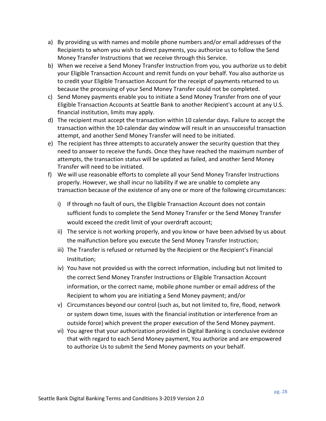- a) By providing us with names and mobile phone numbers and/or email addresses of the Recipients to whom you wish to direct payments, you authorize us to follow the Send Money Transfer Instructions that we receive through this Service.
- b) When we receive a Send Money Transfer Instruction from you, you authorize us to debit your Eligible Transaction Account and remit funds on your behalf. You also authorize us to credit your Eligible Transaction Account for the receipt of payments returned to us because the processing of your Send Money Transfer could not be completed.
- c) Send Money payments enable you to initiate a Send Money Transfer from one of your Eligible Transaction Accounts at Seattle Bank to another Recipient's account at any U.S. financial institution, limits may apply.
- d) The recipient must accept the transaction within 10 calendar days. Failure to accept the transaction within the 10-calendar day window will result in an unsuccessful transaction attempt, and another Send Money Transfer will need to be initiated.
- e) The recipient has three attempts to accurately answer the security question that they need to answer to receive the funds. Once they have reached the maximum number of attempts, the transaction status will be updated as failed, and another Send Money Transfer will need to be initiated.
- <span id="page-27-0"></span>f) We will use reasonable efforts to complete all your Send Money Transfer Instructions properly. However, we shall incur no liability if we are unable to complete any transaction because of the existence of any one or more of the following circumstances:
	- i) If through no fault of ours, the Eligible Transaction Account does not contain sufficient funds to complete the Send Money Transfer or the Send Money Transfer would exceed the credit limit of your overdraft account;
	- ii) The service is not working properly, and you know or have been advised by us about the malfunction before you execute the Send Money Transfer Instruction;
	- iii) The Transfer is refused or returned by the Recipient or the Recipient's Financial Institution;
	- iv) You have not provided us with the correct information, including but not limited to the correct Send Money Transfer Instructions or Eligible Transaction Account information, or the correct name, mobile phone number or email address of the Recipient to whom you are initiating a Send Money payment; and/or
	- v) Circumstances beyond our control (such as, but not limited to, fire, flood, network or system down time, issues with the financial institution or interference from an outside force) which prevent the proper execution of the Send Money payment.
	- vi) You agree that your authorization provided in Digital Banking is conclusive evidence that with regard to each Send Money payment, You authorize and are empowered to authorize Us to submit the Send Money payments on your behalf.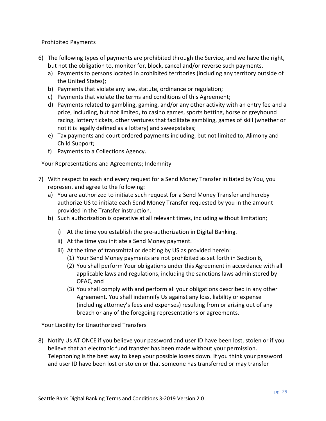Prohibited Payments

- 6) The following types of payments are prohibited through the Service, and we have the right, but not the obligation to, monitor for, block, cancel and/or reverse such payments.
	- a) Payments to persons located in prohibited territories (including any territory outside of the United States);
	- b) Payments that violate any law, statute, ordinance or regulation;
	- c) Payments that violate the terms and conditions of this Agreement;
	- d) Payments related to gambling, gaming, and/or any other activity with an entry fee and a prize, including, but not limited, to casino games, sports betting, horse or greyhound racing, lottery tickets, other ventures that facilitate gambling, games of skill (whether or not it is legally defined as a lottery) and sweepstakes;
	- e) Tax payments and court ordered payments including, but not limited to, Alimony and Child Support;
	- f) Payments to a Collections Agency.

<span id="page-28-0"></span>Your Representations and Agreements; Indemnity

- 7) With respect to each and every request for a Send Money Transfer initiated by You, you represent and agree to the following:
	- a) You are authorized to initiate such request for a Send Money Transfer and hereby authorize US to initiate each Send Money Transfer requested by you in the amount provided in the Transfer instruction.
	- b) Such authorization is operative at all relevant times, including without limitation;
		- i) At the time you establish the pre-authorization in Digital Banking.
		- ii) At the time you initiate a Send Money payment.
		- iii) At the time of transmittal or debiting by US as provided herein:
			- (1) Your Send Money payments are not prohibited as set forth in Section 6,
			- (2) You shall perform Your obligations under this Agreement in accordance with all applicable laws and regulations, including the sanctions laws administered by OFAC, and
			- (3) You shall comply with and perform all your obligations described in any other Agreement. You shall indemnify Us against any loss, liability or expense (including attorney's fees and expenses) resulting from or arising out of any breach or any of the foregoing representations or agreements.

<span id="page-28-1"></span>Your Liability for Unauthorized Transfers

8) Notify Us AT ONCE if you believe your password and user ID have been lost, stolen or if you believe that an electronic fund transfer has been made without your permission. Telephoning is the best way to keep your possible losses down. If you think your password and user ID have been lost or stolen or that someone has transferred or may transfer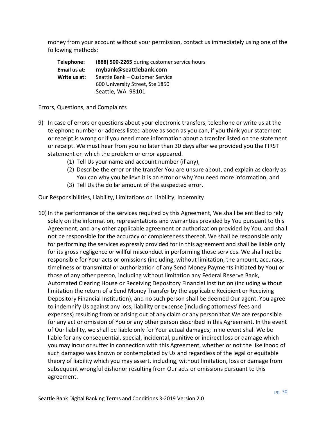money from your account without your permission, contact us immediately using one of the following methods:

| Telephone:   | (888) 500-2265 during customer service hours |  |
|--------------|----------------------------------------------|--|
| Email us at: | mybank@seattlebank.com                       |  |
| Write us at: | Seattle Bank - Customer Service              |  |
|              | 600 University Street, Ste 1850              |  |
|              | Seattle, WA 98101                            |  |

#### <span id="page-29-0"></span>Errors, Questions, and Complaints

- 9) In case of errors or questions about your electronic transfers, telephone or write us at the telephone number or address listed above as soon as you can, if you think your statement or receipt is wrong or if you need more information about a transfer listed on the statement or receipt. We must hear from you no later than 30 days after we provided you the FIRST statement on which the problem or error appeared.
	- (1) Tell Us your name and account number (if any),
	- (2) Describe the error or the transfer You are unsure about, and explain as clearly as You can why you believe it is an error or why You need more information, and
	- (3) Tell Us the dollar amount of the suspected error.

<span id="page-29-1"></span>Our Responsibilities, Liability, Limitations on Liability; Indemnity

10) In the performance of the services required by this Agreement, We shall be entitled to rely solely on the information, representations and warranties provided by You pursuant to this Agreement, and any other applicable agreement or authorization provided by You, and shall not be responsible for the accuracy or completeness thereof. We shall be responsible only for performing the services expressly provided for in this agreement and shall be liable only for its gross negligence or willful misconduct in performing those services. We shall not be responsible for Your acts or omissions (including, without limitation, the amount, accuracy, timeliness or transmittal or authorization of any Send Money Payments initiated by You) or those of any other person, including without limitation any Federal Reserve Bank, Automated Clearing House or Receiving Depository Financial Institution (including without limitation the return of a Send Money Transfer by the applicable Recipient or Receiving Depository Financial Institution), and no such person shall be deemed Our agent. You agree to indemnify Us against any loss, liability or expense (including attorneys' fees and expenses) resulting from or arising out of any claim or any person that We are responsible for any act or omission of You or any other person described in this Agreement. In the event of Our liability, we shall be liable only for Your actual damages; in no event shall We be liable for any consequential, special, incidental, punitive or indirect loss or damage which you may incur or suffer in connection with this Agreement, whether or not the likelihood of such damages was known or contemplated by Us and regardless of the legal or equitable theory of liability which you may assert, including, without limitation, loss or damage from subsequent wrongful dishonor resulting from Our acts or omissions pursuant to this agreement.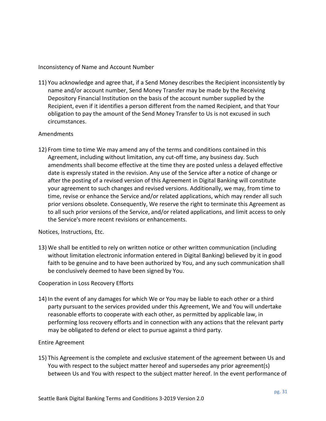<span id="page-30-0"></span>Inconsistency of Name and Account Number

11) You acknowledge and agree that, if a Send Money describes the Recipient inconsistently by name and/or account number, Send Money Transfer may be made by the Receiving Depository Financial Institution on the basis of the account number supplied by the Recipient, even if it identifies a person different from the named Recipient, and that Your obligation to pay the amount of the Send Money Transfer to Us is not excused in such circumstances.

#### <span id="page-30-1"></span>Amendments

12) From time to time We may amend any of the terms and conditions contained in this Agreement, including without limitation, any cut-off time, any business day. Such amendments shall become effective at the time they are posted unless a delayed effective date is expressly stated in the revision. Any use of the Service after a notice of change or after the posting of a revised version of this Agreement in Digital Banking will constitute your agreement to such changes and revised versions. Additionally, we may, from time to time, revise or enhance the Service and/or related applications, which may render all such prior versions obsolete. Consequently, We reserve the right to terminate this Agreement as to all such prior versions of the Service, and/or related applications, and limit access to only the Service's more recent revisions or enhancements.

<span id="page-30-2"></span>Notices, Instructions, Etc.

13) We shall be entitled to rely on written notice or other written communication (including without limitation electronic information entered in Digital Banking) believed by it in good faith to be genuine and to have been authorized by You, and any such communication shall be conclusively deemed to have been signed by You.

#### <span id="page-30-3"></span>Cooperation in Loss Recovery Efforts

14) In the event of any damages for which We or You may be liable to each other or a third party pursuant to the services provided under this Agreement, We and You will undertake reasonable efforts to cooperate with each other, as permitted by applicable law, in performing loss recovery efforts and in connection with any actions that the relevant party may be obligated to defend or elect to pursue against a third party.

#### <span id="page-30-4"></span>Entire Agreement

15) This Agreement is the complete and exclusive statement of the agreement between Us and You with respect to the subject matter hereof and supersedes any prior agreement(s) between Us and You with respect to the subject matter hereof. In the event performance of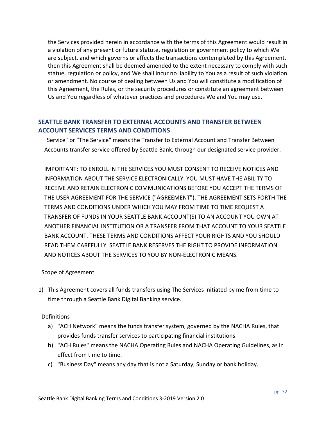the Services provided herein in accordance with the terms of this Agreement would result in a violation of any present or future statute, regulation or government policy to which We are subject, and which governs or affects the transactions contemplated by this Agreement, then this Agreement shall be deemed amended to the extent necessary to comply with such statue, regulation or policy, and We shall incur no liability to You as a result of such violation or amendment. No course of dealing between Us and You will constitute a modification of this Agreement, the Rules, or the security procedures or constitute an agreement between Us and You regardless of whatever practices and procedures We and You may use.

# <span id="page-31-0"></span>**SEATTLE BANK TRANSFER TO EXTERNAL ACCOUNTS AND TRANSFER BETWEEN ACCOUNT SERVICES TERMS AND CONDITIONS**

"Service" or "The Service" means the Transfer to External Account and Transfer Between Accounts transfer service offered by Seattle Bank, through our designated service provider.

IMPORTANT: TO ENROLL IN THE SERVICES YOU MUST CONSENT TO RECEIVE NOTICES AND INFORMATION ABOUT THE SERVICE ELECTRONICALLY. YOU MUST HAVE THE ABILITY TO RECEIVE AND RETAIN ELECTRONIC COMMUNICATIONS BEFORE YOU ACCEPT THE TERMS OF THE USER AGREEMENT FOR THE SERVICE ("AGREEMENT"). THE AGREEMENT SETS FORTH THE TERMS AND CONDITIONS UNDER WHICH YOU MAY FROM TIME TO TIME REQUEST A TRANSFER OF FUNDS IN YOUR SEATTLE BANK ACCOUNT(S) TO AN ACCOUNT YOU OWN AT ANOTHER FINANCIAL INSTITUTION OR A TRANSFER FROM THAT ACCOUNT TO YOUR SEATTLE BANK ACCOUNT. THESE TERMS AND CONDITIONS AFFECT YOUR RIGHTS AND YOU SHOULD READ THEM CAREFULLY. SEATTLE BANK RESERVES THE RIGHT TO PROVIDE INFORMATION AND NOTICES ABOUT THE SERVICES TO YOU BY NON-ELECTRONIC MEANS.

<span id="page-31-1"></span>Scope of Agreement

1) This Agreement covers all funds transfers using The Services initiated by me from time to time through a Seattle Bank Digital Banking service.

<span id="page-31-2"></span>**Definitions** 

- a) "ACH Network" means the funds transfer system, governed by the NACHA Rules, that provides funds transfer services to participating financial institutions.
- b) "ACH Rules" means the NACHA Operating Rules and NACHA Operating Guidelines, as in effect from time to time.
- c) "Business Day" means any day that is not a Saturday, Sunday or bank holiday.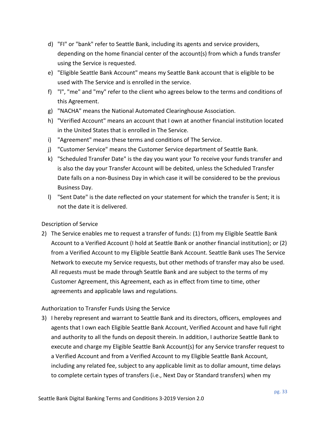- d) "FI" or "bank" refer to Seattle Bank, including its agents and service providers, depending on the home financial center of the account(s) from which a funds transfer using the Service is requested.
- e) "Eligible Seattle Bank Account" means my Seattle Bank account that is eligible to be used with The Service and is enrolled in the service.
- f) "l", "me" and "my" refer to the client who agrees below to the terms and conditions of this Agreement.
- g) "NACHA" means the National Automated Clearinghouse Association.
- h) "Verified Account" means an account that I own at another financial institution located in the United States that is enrolled in The Service.
- i) "Agreement" means these terms and conditions of The Service.
- j) "Customer Service" means the Customer Service department of Seattle Bank.
- k) "Scheduled Transfer Date" is the day you want your To receive your funds transfer and is also the day your Transfer Account will be debited, unless the Scheduled Transfer Date falls on a non-Business Day in which case it will be considered to be the previous Business Day.
- l) "Sent Date" is the date reflected on your statement for which the transfer is Sent; it is not the date it is delivered.

#### <span id="page-32-0"></span>Description of Service

2) The Service enables me to request a transfer of funds: (1) from my Eligible Seattle Bank Account to a Verified Account (I hold at Seattle Bank or another financial institution); or (2) from a Verified Account to my Eligible Seattle Bank Account. Seattle Bank uses The Service Network to execute my Service requests, but other methods of transfer may also be used. All requests must be made through Seattle Bank and are subject to the terms of my Customer Agreement, this Agreement, each as in effect from time to time, other agreements and applicable laws and regulations.

#### <span id="page-32-1"></span>Authorization to Transfer Funds Using the Service

3) I hereby represent and warrant to Seattle Bank and its directors, officers, employees and agents that I own each Eligible Seattle Bank Account, Verified Account and have full right and authority to all the funds on deposit therein. In addition, I authorize Seattle Bank to execute and charge my Eligible Seattle Bank Account(s) for any Service transfer request to a Verified Account and from a Verified Account to my Eligible Seattle Bank Account, including any related fee, subject to any applicable limit as to dollar amount, time delays to complete certain types of transfers (i.e., Next Day or Standard transfers) when my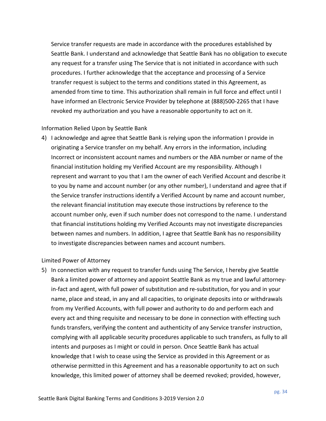Service transfer requests are made in accordance with the procedures established by Seattle Bank. I understand and acknowledge that Seattle Bank has no obligation to execute any request for a transfer using The Service that is not initiated in accordance with such procedures. I further acknowledge that the acceptance and processing of a Service transfer request is subject to the terms and conditions stated in this Agreement, as amended from time to time. This authorization shall remain in full force and effect until I have informed an Electronic Service Provider by telephone at (888)500-2265 that I have revoked my authorization and you have a reasonable opportunity to act on it.

#### <span id="page-33-0"></span>Information Relied Upon by Seattle Bank

4) I acknowledge and agree that Seattle Bank is relying upon the information I provide in originating a Service transfer on my behalf. Any errors in the information, including Incorrect or inconsistent account names and numbers or the ABA number or name of the financial institution holding my Verified Account are my responsibility. Although I represent and warrant to you that I am the owner of each Verified Account and describe it to you by name and account number (or any other number), I understand and agree that if the Service transfer instructions identify a Verified Account by name and account number, the relevant financial institution may execute those instructions by reference to the account number only, even if such number does not correspond to the name. I understand that financial institutions holding my Verified Accounts may not investigate discrepancies between names and numbers. In addition, I agree that Seattle Bank has no responsibility to investigate discrepancies between names and account numbers.

#### <span id="page-33-1"></span>Limited Power of Attorney

5) In connection with any request to transfer funds using The Service, I hereby give Seattle Bank a limited power of attorney and appoint Seattle Bank as my true and lawful attorneyin-fact and agent, with full power of substitution and re-substitution, for you and in your name, place and stead, in any and all capacities, to originate deposits into or withdrawals from my Verified Accounts, with full power and authority to do and perform each and every act and thing requisite and necessary to be done in connection with effecting such funds transfers, verifying the content and authenticity of any Service transfer instruction, complying with all applicable security procedures applicable to such transfers, as fully to all intents and purposes as I might or could in person. Once Seattle Bank has actual knowledge that I wish to cease using the Service as provided in this Agreement or as otherwise permitted in this Agreement and has a reasonable opportunity to act on such knowledge, this limited power of attorney shall be deemed revoked; provided, however,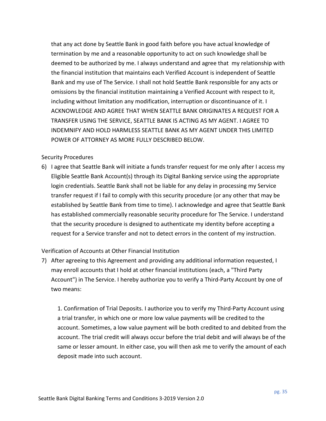that any act done by Seattle Bank in good faith before you have actual knowledge of termination by me and a reasonable opportunity to act on such knowledge shall be deemed to be authorized by me. I always understand and agree that my relationship with the financial institution that maintains each Verified Account is independent of Seattle Bank and my use of The Service. I shall not hold Seattle Bank responsible for any acts or omissions by the financial institution maintaining a Verified Account with respect to it, including without limitation any modification, interruption or discontinuance of it. I ACKNOWLEDGE AND AGREE THAT WHEN SEATTLE BANK ORIGINATES A REQUEST FOR A TRANSFER USING THE SERVICE, SEATTLE BANK IS ACTING AS MY AGENT. I AGREE TO INDEMNIFY AND HOLD HARMLESS SEATTLE BANK AS MY AGENT UNDER THIS LIMITED POWER OF ATTORNEY AS MORE FULLY DESCRIBED BELOW.

#### <span id="page-34-0"></span>Security Procedures

6) I agree that Seattle Bank will initiate a funds transfer request for me only after I access my Eligible Seattle Bank Account(s) through its Digital Banking service using the appropriate login credentials. Seattle Bank shall not be liable for any delay in processing my Service transfer request if I fail to comply with this security procedure (or any other that may be established by Seattle Bank from time to time). I acknowledge and agree that Seattle Bank has established commercially reasonable security procedure for The Service. I understand that the security procedure is designed to authenticate my identity before accepting a request for a Service transfer and not to detect errors in the content of my instruction.

#### <span id="page-34-1"></span>Verification of Accounts at Other Financial Institution

7) After agreeing to this Agreement and providing any additional information requested, I may enroll accounts that I hold at other financial institutions (each, a "Third Party Account") in The Service. I hereby authorize you to verify a Third-Party Account by one of two means:

1. Confirmation of Trial Deposits. I authorize you to verify my Third-Party Account using a trial transfer, in which one or more low value payments will be credited to the account. Sometimes, a low value payment will be both credited to and debited from the account. The trial credit will always occur before the trial debit and will always be of the same or lesser amount. In either case, you will then ask me to verify the amount of each deposit made into such account.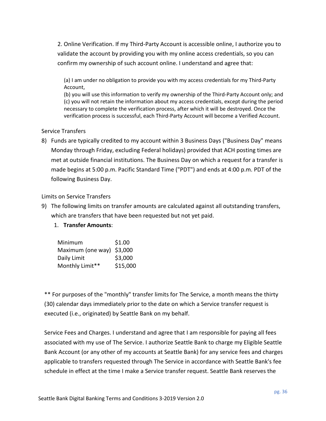2. Online Verification. If my Third-Party Account is accessible online, I authorize you to validate the account by providing you with my online access credentials, so you can confirm my ownership of such account online. I understand and agree that:

(a) I am under no obligation to provide you with my access credentials for my Third-Party Account,

(b) you will use this information to verify my ownership of the Third-Party Account only; and (c) you will not retain the information about my access credentials, except during the period necessary to complete the verification process, after which it will be destroyed. Once the verification process is successful, each Third-Party Account will become a Verified Account.

#### <span id="page-35-0"></span>Service Transfers

8) Funds are typically credited to my account within 3 Business Days ("Business Day" means Monday through Friday, excluding Federal holidays) provided that ACH posting times are met at outside financial institutions. The Business Day on which a request for a transfer is made begins at 5:00 p.m. Pacific Standard Time ("PDT") and ends at 4:00 p.m. PDT of the following Business Day.

#### <span id="page-35-1"></span>Limits on Service Transfers

9) The following limits on transfer amounts are calculated against all outstanding transfers, which are transfers that have been requested but not yet paid.

# 1. **Transfer Amounts**:

| Minimum                   | \$1.00   |
|---------------------------|----------|
| Maximum (one way) \$3,000 |          |
| Daily Limit               | \$3,000  |
| Monthly Limit**           | \$15,000 |

\*\* For purposes of the "monthly" transfer limits for The Service, a month means the thirty (30) calendar days immediately prior to the date on which a Service transfer request is executed (i.e., originated) by Seattle Bank on my behalf.

Service Fees and Charges. I understand and agree that I am responsible for paying all fees associated with my use of The Service. I authorize Seattle Bank to charge my Eligible Seattle Bank Account (or any other of my accounts at Seattle Bank) for any service fees and charges applicable to transfers requested through The Service in accordance with Seattle Bank's fee schedule in effect at the time I make a Service transfer request. Seattle Bank reserves the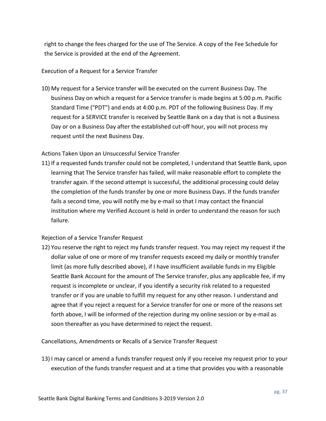right to change the fees charged for the use of The Service. A copy of the Fee Schedule for the Service is provided at the end of the Agreement.

#### <span id="page-36-0"></span>Execution of a Request for a Service Transfer

10) My request for a Service transfer will be executed on the current Business Day. The business Day on which a request for a Service transfer is made begins at 5:00 p.m. Pacific Standard Time ("PDT") and ends at 4:00 p.m. PDT of the following Business Day. If my request for a SERVICE transfer is received by Seattle Bank on a day that is not a Business Day or on a Business Day after the established cut-off hour, you will not process my request until the next Business Day.

#### <span id="page-36-1"></span>Actions Taken Upon an Unsuccessful Service Transfer

11) If a requested funds transfer could not be completed, I understand that Seattle Bank, upon learning that The Service transfer has failed, will make reasonable effort to complete the transfer again. If the second attempt is successful, the additional processing could delay the completion of the funds transfer by one or more Business Days. If the funds transfer fails a second time, you will notify me by e-mail so that I may contact the financial institution where my Verified Account is held in order to understand the reason for such failure.

# <span id="page-36-2"></span>Rejection of a Service Transfer Request

12) You reserve the right to reject my funds transfer request. You may reject my request if the dollar value of one or more of my transfer requests exceed my daily or monthly transfer limit (as more fully described above), if I have insufficient available funds in my Eligible Seattle Bank Account for the amount of The Service transfer, plus any applicable fee, if my request is incomplete or unclear, if you identify a security risk related to a requested transfer or if you are unable to fulfill my request for any other reason. I understand and agree that if you reject a request for a Service transfer for one or more of the reasons set forth above, I will be informed of the rejection during my online session or by e-mail as soon thereafter as you have determined to reject the request.

<span id="page-36-3"></span>Cancellations, Amendments or Recalls of a Service Transfer Request

13) I may cancel or amend a funds transfer request only if you receive my request prior to your execution of the funds transfer request and at a time that provides you with a reasonable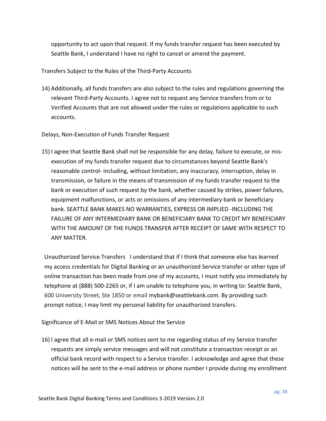opportunity to act upon that request. If my funds transfer request has been executed by Seattle Bank, I understand I have no right to cancel or amend the payment.

<span id="page-37-0"></span>Transfers Subject to the Rules of the Third-Party Accounts

14) Additionally, all funds transfers are also subject to the rules and regulations governing the relevant Third-Party Accounts. I agree not to request any Service transfers from or to Verified Accounts that are not allowed under the rules or regulations applicable to such accounts.

<span id="page-37-1"></span>Delays, Non-Execution of Funds Transfer Request

15) I agree that Seattle Bank shall not be responsible for any delay, failure to execute, or misexecution of my funds transfer request due to circumstances beyond Seattle Bank's reasonable control- including, without limitation, any inaccuracy, interruption, delay in transmission, or failure in the means of transmission of my funds transfer request to the bank or execution of such request by the bank, whether caused by strikes, power failures, equipment malfunctions, or acts or omissions of any intermediary bank or beneficiary bank. SEATTLE BANK MAKES NO WARRANTIES, EXPRESS OR IMPLIED -INCLUDING THE FAILURE OF ANY INTERMEDIARY BANK OR BENEFICIARY BANK TO CREDIT MY BENEFICIARY WITH THE AMOUNT OF THE FUNDS TRANSFER AFTER RECEIPT OF SAME WITH RESPECT TO ANY MATTER.

Unauthorized Service Transfers I understand that if I think that someone else has learned my access credentials for Digital Banking or an unauthorized Service transfer or other type of online transaction has been made from one of my accounts, I must notify you immediately by telephone at (888) 500-2265 or, if I am unable to telephone you, in writing to: Seattle Bank, 600 University Street, Ste 1850 or email mybank@seattlebank.com. By providing such prompt notice, I may limit my personal liability for unauthorized transfers.

<span id="page-37-2"></span>Significance of E-Mail or SMS Notices About the Service

16) I agree that all e-mail or SMS notices sent to me regarding status of my Service transfer requests are simply service messages and will not constitute a transaction receipt or an official bank record with respect to a Service transfer. I acknowledge and agree that these notices will be sent to the e-mail address or phone number I provide during my enrollment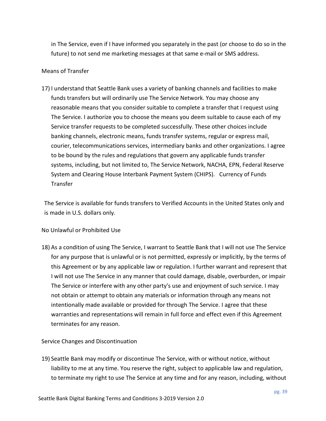in The Service, even if I have informed you separately in the past (or choose to do so in the future) to not send me marketing messages at that same e-mail or SMS address.

#### <span id="page-38-0"></span>Means of Transfer

17) I understand that Seattle Bank uses a variety of banking channels and facilities to make funds transfers but will ordinarily use The Service Network. You may choose any reasonable means that you consider suitable to complete a transfer that I request using The Service. I authorize you to choose the means you deem suitable to cause each of my Service transfer requests to be completed successfully. These other choices include banking channels, electronic means, funds transfer systems, regular or express mail, courier, telecommunications services, intermediary banks and other organizations. I agree to be bound by the rules and regulations that govern any applicable funds transfer systems, including, but not limited to, The Service Network, NACHA, EPN, Federal Reserve System and Clearing House Interbank Payment System (CHIPS). Currency of Funds Transfer

The Service is available for funds transfers to Verified Accounts in the United States only and is made in U.S. dollars only.

#### <span id="page-38-1"></span>No Unlawful or Prohibited Use

18) As a condition of using The Service, I warrant to Seattle Bank that I will not use The Service for any purpose that is unlawful or is not permitted, expressly or implicitly, by the terms of this Agreement or by any applicable law or regulation. I further warrant and represent that I will not use The Service in any manner that could damage, disable, overburden, or impair The Service or interfere with any other party's use and enjoyment of such service. I may not obtain or attempt to obtain any materials or information through any means not intentionally made available or provided for through The Service. I agree that these warranties and representations will remain in full force and effect even if this Agreement terminates for any reason.

<span id="page-38-2"></span>Service Changes and Discontinuation

19) Seattle Bank may modify or discontinue The Service, with or without notice, without liability to me at any time. You reserve the right, subject to applicable law and regulation, to terminate my right to use The Service at any time and for any reason, including, without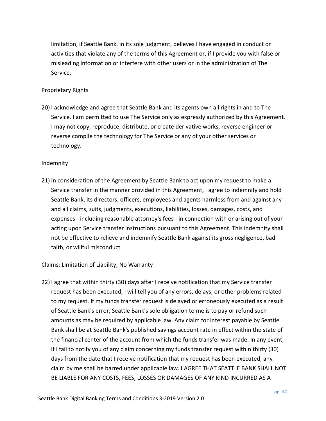limitation, if Seattle Bank, in its sole judgment, believes I have engaged in conduct or activities that violate any of the terms of this Agreement or, if I provide you with false or misleading information or interfere with other users or in the administration of The Service.

#### <span id="page-39-0"></span>Proprietary Rights

20) I acknowledge and agree that Seattle Bank and its agents own all rights in and to The Service. I am permitted to use The Service only as expressly authorized by this Agreement. I may not copy, reproduce, distribute, or create derivative works, reverse engineer or reverse compile the technology for The Service or any of your other services or technology.

#### <span id="page-39-1"></span>Indemnity

21) In consideration of the Agreement by Seattle Bank to act upon my request to make a Service transfer in the manner provided in this Agreement, I agree to indemnify and hold Seattle Bank, its directors, officers, employees and agents harmless from and against any and all claims, suits, judgments, executions, liabilities, losses, damages, costs, and expenses - including reasonable attorney's fees - in connection with or arising out of your acting upon Service transfer instructions pursuant to this Agreement. This indemnity shall not be effective to relieve and indemnify Seattle Bank against its gross negligence, bad faith, or willful misconduct.

#### <span id="page-39-2"></span>Claims; Limitation of Liability; No Warranty

22) I agree that within thirty (30) days after I receive notification that my Service transfer request has been executed, I will tell you of any errors, delays, or other problems related to my request. If my funds transfer request is delayed or erroneously executed as a result of Seattle Bank's error, Seattle Bank's sole obligation to me is to pay or refund such amounts as may be required by applicable law. Any claim for interest payable by Seattle Bank shall be at Seattle Bank's published savings account rate in effect within the state of the financial center of the account from which the funds transfer was made. In any event, if I fail to notify you of any claim concerning my funds transfer request within thirty (30) days from the date that I receive notification that my request has been executed, any claim by me shall be barred under applicable law. I AGREE THAT SEATTLE BANK SHALL NOT BE LIABLE FOR ANY COSTS, FEES, LOSSES OR DAMAGES OF ANY KIND INCURRED AS A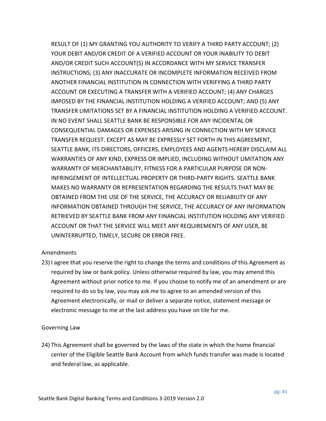RESULT OF (1) MY GRANTING YOU AUTHORITY TO VERIFY A THIRD PARTY ACCOUNT; (2) YOUR DEBIT AND/OR CREDIT OF A VERIFIED ACCOUNT OR YOUR INABILITY TO DEBIT AND/OR CREDIT SUCH ACCOUNT(S) IN ACCORDANCE WITH MY SERVICE TRANSFER INSTRUCTIONS; (3) ANY INACCURATE OR INCOMPLETE INFORMATION RECEIVED FROM ANOTHER FINANCIAL INSTITUTION IN CONNECTION WITH VERIFYING A THIRD PARTY ACCOUNT OR EXECUTING A TRANSFER WITH A VERIFIED ACCOUNT; (4) ANY CHARGES IMPOSED BY THE FINANCIAL INSTITUTION HOLDING A VERIFIED ACCOUNT; AND (5) ANY TRANSFER LIMITATIONS SET BY A FINANCIAL INSTITUTION HOLDING A VERIFIED ACCOUNT. IN NO EVENT SHALL SEATTLE BANK BE RESPONSIBLE FOR ANY INCIDENTAL OR CONSEQUENTIAL DAMAGES OR EXPENSES ARISING IN CONNECTION WITH MY SERVICE TRANSFER REQUEST. EXCEPT AS MAY BE EXPRESSLY SET FORTH IN THIS AGREEMENT, SEATTLE BANK, ITS DIRECTORS, OFFICERS, EMPLOYEES AND AGENTS HEREBY DISCLAIM ALL WARRANTIES OF ANY KIND, EXPRESS OR IMPLIED, INCLUDING WITHOUT LIMITATION ANY WARRANTY OF MERCHANTABILITY, FITNESS FOR A PARTICULAR PURPOSE OR NON-INFRINGEMENT OF INTELLECTUAL PROPERTY OR THIRD-PARTY RIGHTS. SEATTLE BANK MAKES NO WARRANTY OR REPRESENTATION REGARDING THE RESULTS THAT MAY BE OBTAINED FROM THE USE OF THE SERVICE, THE ACCURACY OR RELIABILITY OF ANY INFORMATION OBTAINED THROUGH THE SERVICE, THE ACCURACY OF ANY INFORMATION RETRIEVED BY SEATTLE BANK FROM ANY FINANCIAL INSTITUTION HOLDING ANY VERIFIED ACCOUNT OR THAT THE SERVICE WILL MEET ANY REQUIREMENTS OF ANY USER, BE UNINTERRUPTED, TIMELY, SECURE OR ERROR FREE.

#### <span id="page-40-0"></span>Amendments

23) I agree that you reserve the right to change the terms and conditions of this Agreement as required by law or bank policy. Unless otherwise required by law, you may amend this Agreement without prior notice to me. If you choose to notify me of an amendment or are required to do so by law, you may ask me to agree to an amended version of this Agreement electronically, or mail or deliver a separate notice, statement message or electronic message to me at the last address you have on tile for me.

#### <span id="page-40-1"></span>Governing Law

24) This Agreement shall be governed by the laws of the state in which the home financial center of the Eligible Seattle Bank Account from which funds transfer was made is located and federal law, as applicable.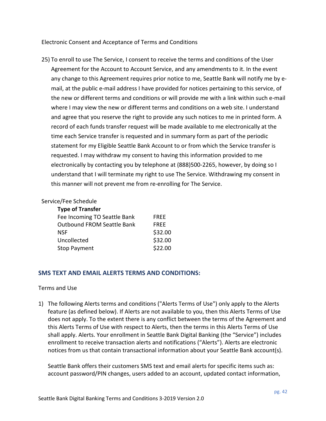<span id="page-41-0"></span>Electronic Consent and Acceptance of Terms and Conditions

25) To enroll to use The Service, I consent to receive the terms and conditions of the User Agreement for the Account to Account Service, and any amendments to it. In the event any change to this Agreement requires prior notice to me, Seattle Bank will notify me by email, at the public e-mail address I have provided for notices pertaining to this service, of the new or different terms and conditions or will provide me with a link within such e-mail where I may view the new or different terms and conditions on a web site. I understand and agree that you reserve the right to provide any such notices to me in printed form. A record of each funds transfer request will be made available to me electronically at the time each Service transfer is requested and in summary form as part of the periodic statement for my Eligible Seattle Bank Account to or from which the Service transfer is requested. I may withdraw my consent to having this information provided to me electronically by contacting you by telephone at (888)500-2265, however, by doing so I understand that I will terminate my right to use The Service. Withdrawing my consent in this manner will not prevent me from re-enrolling for The Service.

#### <span id="page-41-1"></span>Service/Fee Schedule

| <b>Type of Transfer</b>           |             |
|-----------------------------------|-------------|
| Fee Incoming TO Seattle Bank      | <b>FREE</b> |
| <b>Outbound FROM Seattle Bank</b> | <b>FREE</b> |
| NSF                               | \$32.00     |
| Uncollected                       | \$32.00     |
| <b>Stop Payment</b>               | \$22.00     |

# <span id="page-41-2"></span>**SMS TEXT AND EMAIL ALERTS TERMS AND CONDITIONS:**

#### <span id="page-41-3"></span>Terms and Use

1) The following Alerts terms and conditions ("Alerts Terms of Use") only apply to the Alerts feature (as defined below). If Alerts are not available to you, then this Alerts Terms of Use does not apply. To the extent there is any conflict between the terms of the Agreement and this Alerts Terms of Use with respect to Alerts, then the terms in this Alerts Terms of Use shall apply. Alerts. Your enrollment in Seattle Bank Digital Banking (the "Service") includes enrollment to receive transaction alerts and notifications ("Alerts"). Alerts are electronic notices from us that contain transactional information about your Seattle Bank account(s).

Seattle Bank offers their customers SMS text and email alerts for specific items such as: account password/PIN changes, users added to an account, updated contact information,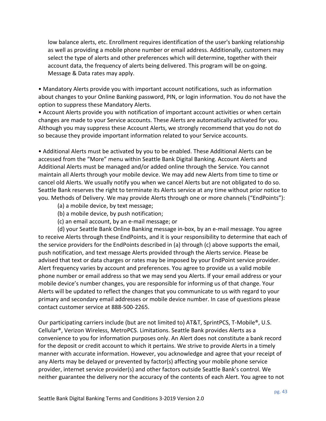low balance alerts, etc. Enrollment requires identification of the user's banking relationship as well as providing a mobile phone number or email address. Additionally, customers may select the type of alerts and other preferences which will determine, together with their account data, the frequency of alerts being delivered. This program will be on-going. Message & Data rates may apply.

• Mandatory Alerts provide you with important account notifications, such as information about changes to your Online Banking password, PIN, or login information. You do not have the option to suppress these Mandatory Alerts.

• Account Alerts provide you with notification of important account activities or when certain changes are made to your Service accounts. These Alerts are automatically activated for you. Although you may suppress these Account Alerts, we strongly recommend that you do not do so because they provide important information related to your Service accounts.

• Additional Alerts must be activated by you to be enabled. These Additional Alerts can be accessed from the "More" menu within Seattle Bank Digital Banking. Account Alerts and Additional Alerts must be managed and/or added online through the Service. You cannot maintain all Alerts through your mobile device. We may add new Alerts from time to time or cancel old Alerts. We usually notify you when we cancel Alerts but are not obligated to do so. Seattle Bank reserves the right to terminate its Alerts service at any time without prior notice to you. Methods of Delivery. We may provide Alerts through one or more channels ("EndPoints"):

- (a) a mobile device, by text message;
- (b) a mobile device, by push notification;
- (c) an email account, by an e-mail message; or

(d) your Seattle Bank Online Banking message in-box, by an e-mail message. You agree to receive Alerts through these EndPoints, and it is your responsibility to determine that each of the service providers for the EndPoints described in (a) through (c) above supports the email, push notification, and text message Alerts provided through the Alerts service. Please be advised that text or data charges or rates may be imposed by your EndPoint service provider. Alert frequency varies by account and preferences. You agree to provide us a valid mobile phone number or email address so that we may send you Alerts. If your email address or your mobile device's number changes, you are responsible for informing us of that change. Your Alerts will be updated to reflect the changes that you communicate to us with regard to your primary and secondary email addresses or mobile device number. In case of questions please contact customer service at 888-500-2265.

Our participating carriers include (but are not limited to) AT&T, SprintPCS, T-Mobile®, U.S. Cellular®, Verizon Wireless, MetroPCS. Limitations. Seattle Bank provides Alerts as a convenience to you for information purposes only. An Alert does not constitute a bank record for the deposit or credit account to which it pertains. We strive to provide Alerts in a timely manner with accurate information. However, you acknowledge and agree that your receipt of any Alerts may be delayed or prevented by factor(s) affecting your mobile phone service provider, internet service provider(s) and other factors outside Seattle Bank's control. We neither guarantee the delivery nor the accuracy of the contents of each Alert. You agree to not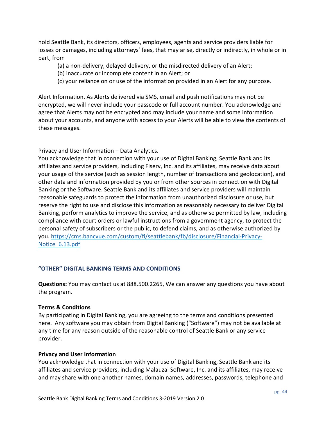hold Seattle Bank, its directors, officers, employees, agents and service providers liable for losses or damages, including attorneys' fees, that may arise, directly or indirectly, in whole or in part, from

- (a) a non-delivery, delayed delivery, or the misdirected delivery of an Alert;
- (b) inaccurate or incomplete content in an Alert; or
- (c) your reliance on or use of the information provided in an Alert for any purpose.

Alert Information. As Alerts delivered via SMS, email and push notifications may not be encrypted, we will never include your passcode or full account number. You acknowledge and agree that Alerts may not be encrypted and may include your name and some information about your accounts, and anyone with access to your Alerts will be able to view the contents of these messages.

Privacy and User Information – Data Analytics.

You acknowledge that in connection with your use of Digital Banking, Seattle Bank and its affiliates and service providers, including Fiserv, Inc. and its affiliates, may receive data about your usage of the service (such as session length, number of transactions and geolocation), and other data and information provided by you or from other sources in connection with Digital Banking or the Software. Seattle Bank and its affiliates and service providers will maintain reasonable safeguards to protect the information from unauthorized disclosure or use, but reserve the right to use and disclose this information as reasonably necessary to deliver Digital Banking, perform analytics to improve the service, and as otherwise permitted by law, including compliance with court orders or lawful instructions from a government agency, to protect the personal safety of subscribers or the public, to defend claims, and as otherwise authorized by you. [https://cms.bancvue.com/custom/fi/seattlebank/fb/disclosure/Financial-Privacy-](https://cms.bancvue.com/custom/fi/seattlebank/fb/disclosure/Financial-Privacy-Notice_6.13.pdf)[Notice\\_6.13.pdf](https://cms.bancvue.com/custom/fi/seattlebank/fb/disclosure/Financial-Privacy-Notice_6.13.pdf)

# <span id="page-43-0"></span>**"OTHER" DIGITAL BANKING TERMS AND CONDITIONS**

**Questions:** You may contact us at 888.500.2265, We can answer any questions you have about the program.

#### <span id="page-43-1"></span>**Terms & Conditions**

By participating in Digital Banking, you are agreeing to the terms and conditions presented here. Any software you may obtain from Digital Banking ("Software") may not be available at any time for any reason outside of the reasonable control of Seattle Bank or any service provider.

#### <span id="page-43-2"></span>**Privacy and User Information**

You acknowledge that in connection with your use of Digital Banking, Seattle Bank and its affiliates and service providers, including Malauzai Software, Inc. and its affiliates, may receive and may share with one another names, domain names, addresses, passwords, telephone and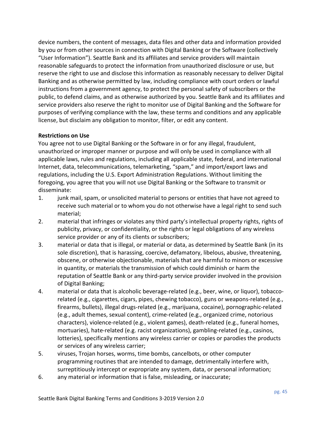device numbers, the content of messages, data files and other data and information provided by you or from other sources in connection with Digital Banking or the Software (collectively "User Information"). Seattle Bank and its affiliates and service providers will maintain reasonable safeguards to protect the information from unauthorized disclosure or use, but reserve the right to use and disclose this information as reasonably necessary to deliver Digital Banking and as otherwise permitted by law, including compliance with court orders or lawful instructions from a government agency, to protect the personal safety of subscribers or the public, to defend claims, and as otherwise authorized by you. Seattle Bank and its affiliates and service providers also reserve the right to monitor use of Digital Banking and the Software for purposes of verifying compliance with the law, these terms and conditions and any applicable license, but disclaim any obligation to monitor, filter, or edit any content.

#### <span id="page-44-0"></span>**Restrictions on Use**

You agree not to use Digital Banking or the Software in or for any illegal, fraudulent, unauthorized or improper manner or purpose and will only be used in compliance with all applicable laws, rules and regulations, including all applicable state, federal, and international Internet, data, telecommunications, telemarketing, "spam," and import/export laws and regulations, including the U.S. Export Administration Regulations. Without limiting the foregoing, you agree that you will not use Digital Banking or the Software to transmit or disseminate:

- 1. junk mail, spam, or unsolicited material to persons or entities that have not agreed to receive such material or to whom you do not otherwise have a legal right to send such material;
- 2. material that infringes or violates any third party's intellectual property rights, rights of publicity, privacy, or confidentiality, or the rights or legal obligations of any wireless service provider or any of its clients or subscribers;
- 3. material or data that is illegal, or material or data, as determined by Seattle Bank (in its sole discretion), that is harassing, coercive, defamatory, libelous, abusive, threatening, obscene, or otherwise objectionable, materials that are harmful to minors or excessive in quantity, or materials the transmission of which could diminish or harm the reputation of Seattle Bank or any third-party service provider involved in the provision of Digital Banking;
- 4. material or data that is alcoholic beverage-related (e.g., beer, wine, or liquor), tobaccorelated (e.g., cigarettes, cigars, pipes, chewing tobacco), guns or weapons-related (e.g., firearms, bullets), illegal drugs-related (e.g., marijuana, cocaine), pornographic-related (e.g., adult themes, sexual content), crime-related (e.g., organized crime, notorious characters), violence-related (e.g., violent games), death-related (e.g., funeral homes, mortuaries), hate-related (e.g. racist organizations), gambling-related (e.g., casinos, lotteries), specifically mentions any wireless carrier or copies or parodies the products or services of any wireless carrier;
- 5. viruses, Trojan horses, worms, time bombs, cancelbots, or other computer programming routines that are intended to damage, detrimentally interfere with, surreptitiously intercept or expropriate any system, data, or personal information;
- 6. any material or information that is false, misleading, or inaccurate;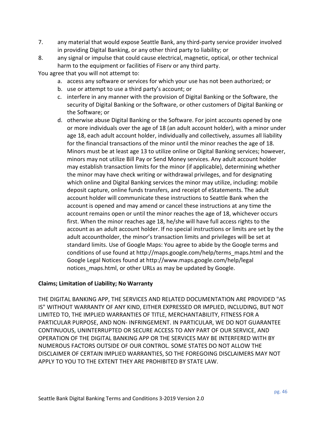- 7. any material that would expose Seattle Bank, any third-party service provider involved in providing Digital Banking, or any other third party to liability; or
- 8. any signal or impulse that could cause electrical, magnetic, optical, or other technical harm to the equipment or facilities of Fiserv or any third party.

You agree that you will not attempt to:

- a. access any software or services for which your use has not been authorized; or
- b. use or attempt to use a third party's account; or
- c. interfere in any manner with the provision of Digital Banking or the Software, the security of Digital Banking or the Software, or other customers of Digital Banking or the Software; or
- d. otherwise abuse Digital Banking or the Software. For joint accounts opened by one or more individuals over the age of 18 (an adult account holder), with a minor under age 18, each adult account holder, individually and collectively, assumes all liability for the financial transactions of the minor until the minor reaches the age of 18. Minors must be at least age 13 to utilize online or Digital Banking services; however, minors may not utilize Bill Pay or Send Money services. Any adult account holder may establish transaction limits for the minor (if applicable), determining whether the minor may have check writing or withdrawal privileges, and for designating which online and Digital Banking services the minor may utilize, including: mobile deposit capture, online funds transfers, and receipt of eStatements. The adult account holder will communicate these instructions to Seattle Bank when the account is opened and may amend or cancel these instructions at any time the account remains open or until the minor reaches the age of 18, whichever occurs first. When the minor reaches age 18, he/she will have full access rights to the account as an adult account holder. If no special instructions or limits are set by the adult accountholder, the minor's transaction limits and privileges will be set at standard limits. Use of Google Maps: You agree to abide by the Google terms and conditions of use found at http://maps.google.com/help/terms\_maps.html and the Google Legal Notices found at http://www.maps.google.com/help/legal notices\_maps.html, or other URLs as may be updated by Google.

# <span id="page-45-0"></span>**Claims; Limitation of Liability; No Warranty**

THE DIGITAL BANKING APP, THE SERVICES AND RELATED DOCUMENTATION ARE PROVIDED "AS IS" WITHOUT WARRANTY OF ANY KIND, EITHER EXPRESSED OR IMPLIED, INCLUDING, BUT NOT LIMITED TO, THE IMPLIED WARRANTIES OF TITLE, MERCHANTABILITY, FITNESS FOR A PARTICULAR PURPOSE, AND NON- INFRINGEMENT. IN PARTICULAR, WE DO NOT GUARANTEE CONTINUOUS, UNINTERRUPTED OR SECURE ACCESS TO ANY PART OF OUR SERVICE, AND OPERATION OF THE DIGITAL BANKING APP OR THE SERVICES MAY BE INTERFERED WITH BY NUMEROUS FACTORS OUTSIDE OF OUR CONTROL. SOME STATES DO NOT ALLOW THE DISCLAIMER OF CERTAIN IMPLIED WARRANTIES, SO THE FOREGOING DISCLAIMERS MAY NOT APPLY TO YOU TO THE EXTENT THEY ARE PROHIBITED BY STATE LAW.